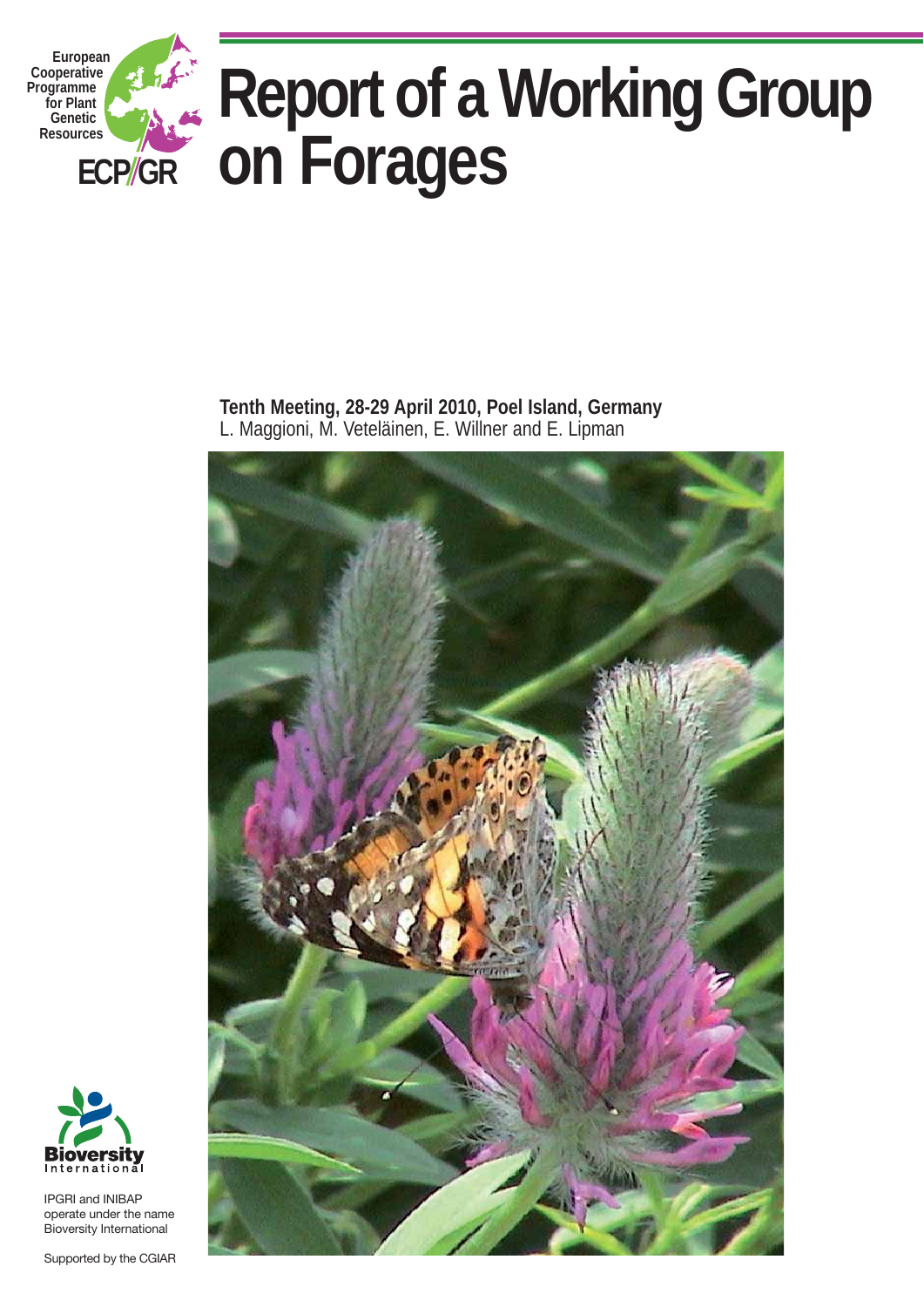

**Tenth Meeting, 28-29 April 2010, Poel Island, Germany**  L. Maggioni, M. Veteläinen, E. Willner and E. Lipman





IPGRI and INIBAP operate under the name Bioversity International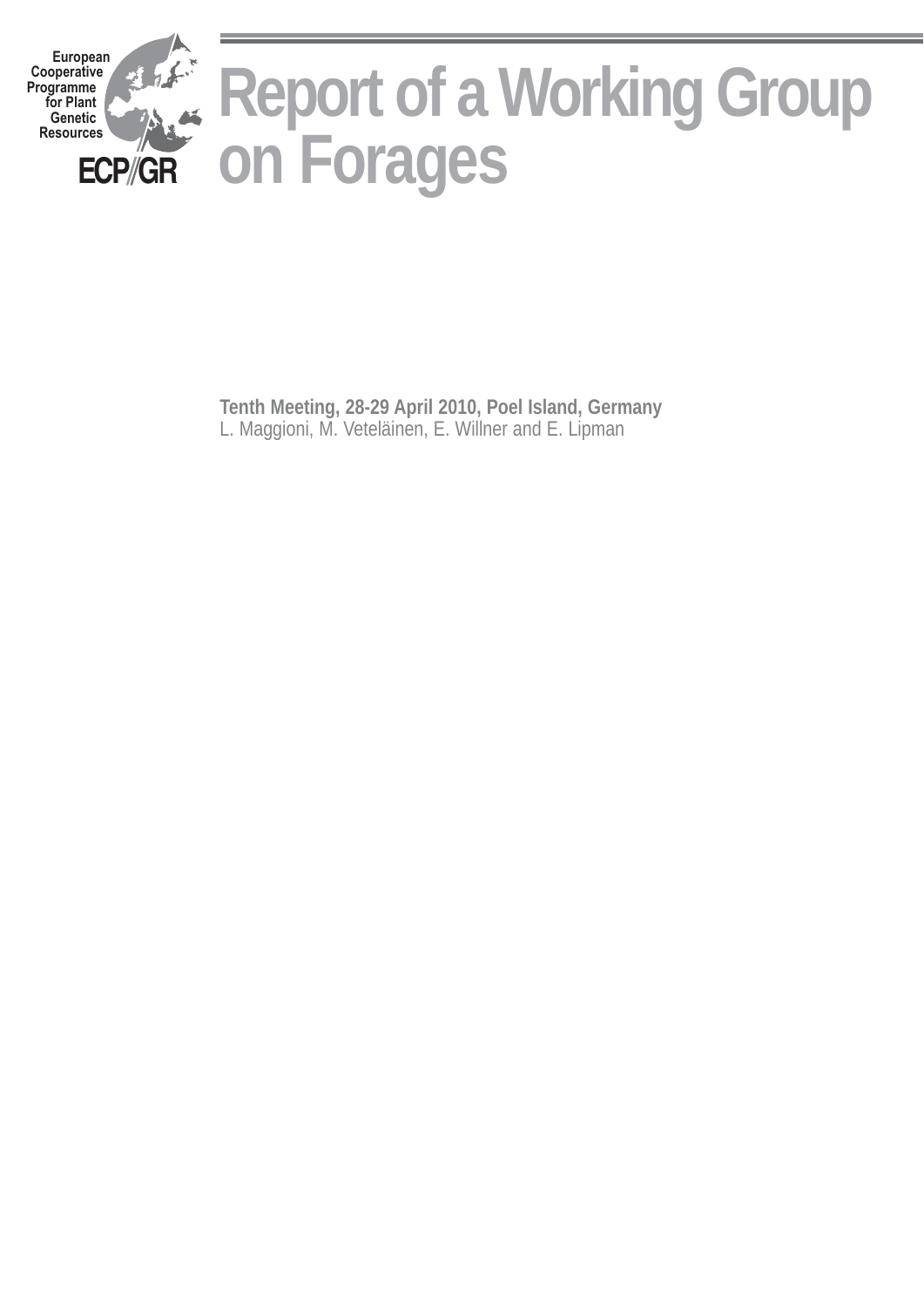

**Tenth Meeting, 28-29 April 2010, Poel Island, Germany** L. Maggioni, M. Veteläinen, E. Willner and E. Lipman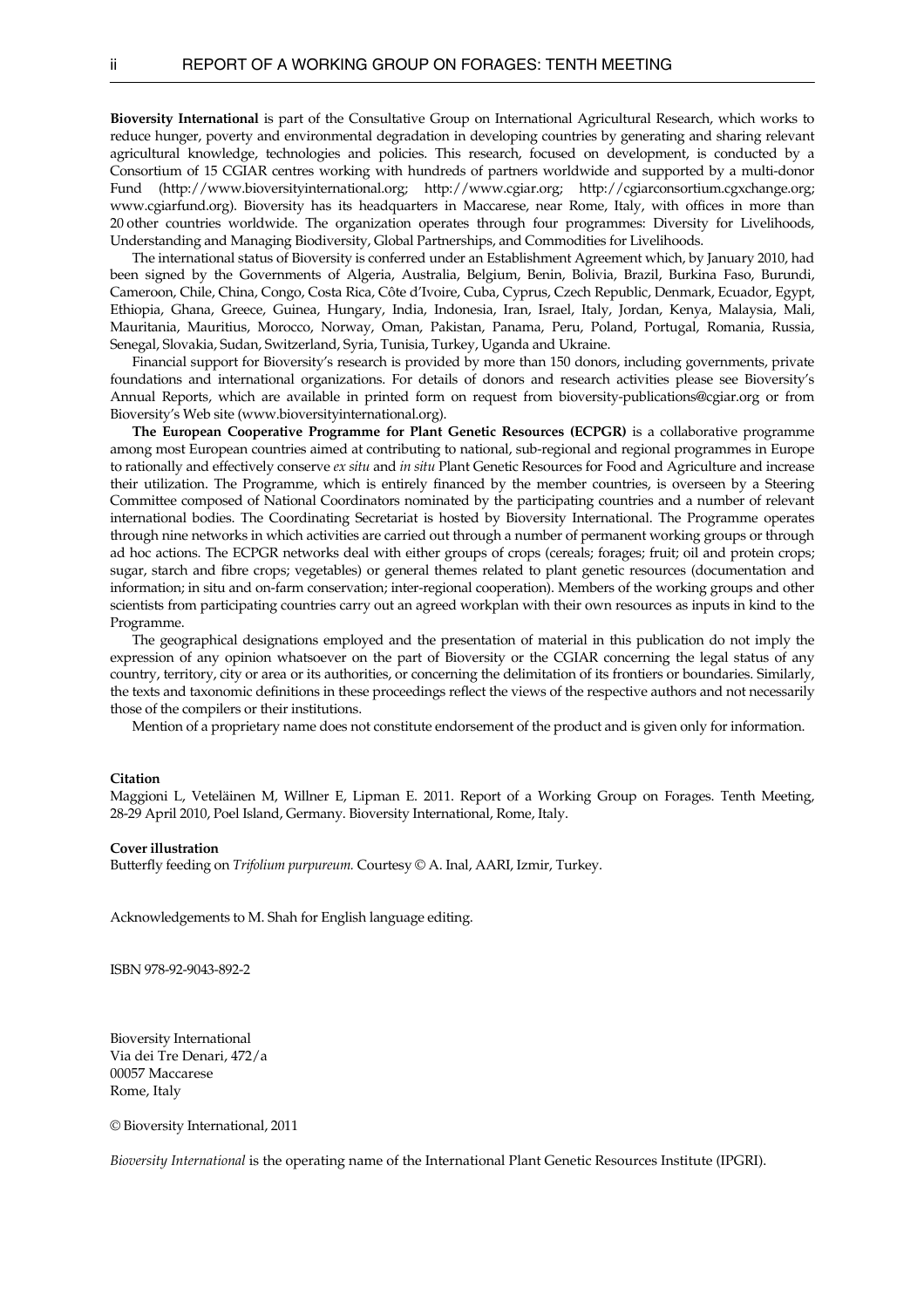**Bioversity International** is part of the Consultative Group on International Agricultural Research, which works to reduce hunger, poverty and environmental degradation in developing countries by generating and sharing relevant agricultural knowledge, technologies and policies. This research, focused on development, is conducted by a Consortium of 15 CGIAR centres working with hundreds of partners worldwide and supported by a multi-donor Fund [\(http://www.bioversityinternational.org;](http://www.bioversityinternational.org/) http:/[/www.cgiar.org](http://www.cgiar.org/); [http://cgiarconsortium.cgxchange.org](http://cgiarconsortium.cgxchange.org/); [www.cgiarfund.org\)](http://www.cgiarfund.org/). Bioversity has its headquarters in Maccarese, near Rome, Italy, with offices in more than 20 other countries worldwide. The organization operates through four programmes: Diversity for Livelihoods, Understanding and Managing Biodiversity, Global Partnerships, and Commodities for Livelihoods.

 The international status of Bioversity is conferred under an Establishment Agreement which, by January 2010, had been signed by the Governments of Algeria, Australia, Belgium, Benin, Bolivia, Brazil, Burkina Faso, Burundi, Cameroon, Chile, China, Congo, Costa Rica, Côte d'Ivoire, Cuba, Cyprus, Czech Republic, Denmark, Ecuador, Egypt, Ethiopia, Ghana, Greece, Guinea, Hungary, India, Indonesia, Iran, Israel, Italy, Jordan, Kenya, Malaysia, Mali, Mauritania, Mauritius, Morocco, Norway, Oman, Pakistan, Panama, Peru, Poland, Portugal, Romania, Russia, Senegal, Slovakia, Sudan, Switzerland, Syria, Tunisia, Turkey, Uganda and Ukraine.

 Financial support for Bioversity's research is provided by more than 150 donors, including governments, private foundations and international organizations. For details of donors and research activities please see Bioversity's Annual Reports, which are available in printed form on request from bioversity-publications@cgiar.org or from Bioversity's Web site (www.bioversityinternational.org).

**The European Cooperative Programme for Plant Genetic Resources (ECPGR)** is a collaborative programme among most European countries aimed at contributing to national, sub-regional and regional programmes in Europe to rationally and effectively conserve *ex situ* and *in situ* Plant Genetic Resources for Food and Agriculture and increase their utilization. The Programme, which is entirely financed by the member countries, is overseen by a Steering Committee composed of National Coordinators nominated by the participating countries and a number of relevant international bodies. The Coordinating Secretariat is hosted by Bioversity International. The Programme operates through nine networks in which activities are carried out through a number of permanent working groups or through ad hoc actions. The ECPGR networks deal with either groups of crops (cereals; forages; fruit; oil and protein crops; sugar, starch and fibre crops; vegetables) or general themes related to plant genetic resources (documentation and information; in situ and on-farm conservation; inter-regional cooperation). Members of the working groups and other scientists from participating countries carry out an agreed workplan with their own resources as inputs in kind to the Programme.

 The geographical designations employed and the presentation of material in this publication do not imply the expression of any opinion whatsoever on the part of Bioversity or the CGIAR concerning the legal status of any country, territory, city or area or its authorities, or concerning the delimitation of its frontiers or boundaries. Similarly, the texts and taxonomic definitions in these proceedings reflect the views of the respective authors and not necessarily those of the compilers or their institutions.

Mention of a proprietary name does not constitute endorsement of the product and is given only for information.

#### **Citation**

Maggioni L, Veteläinen M, Willner E, Lipman E. 2011. Report of a Working Group on Forages. Tenth Meeting, 28-29 April 2010, Poel Island, Germany. Bioversity International, Rome, Italy.

#### **Cover illustration**

Butterfly feeding on *Trifolium purpureum.* Courtesy © A. Inal, AARI, Izmir, Turkey.

Acknowledgements to M. Shah for English language editing.

ISBN 978-92-9043-892-2

Bioversity International Via dei Tre Denari, 472/a 00057 Maccarese Rome, Italy

© Bioversity International, 2011

*Bioversity International* is the operating name of the International Plant Genetic Resources Institute (IPGRI).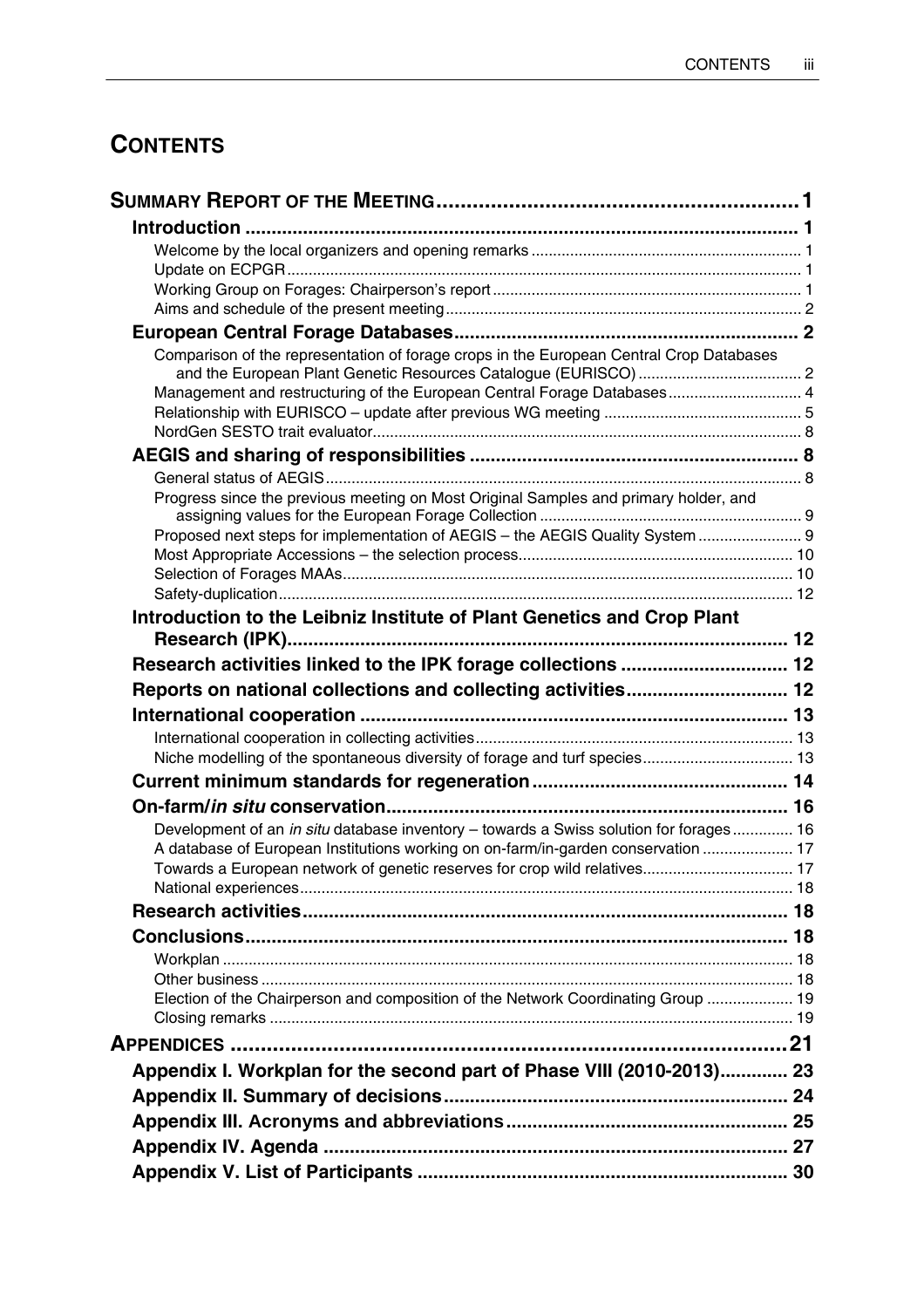# **CONTENTS**

| Comparison of the representation of forage crops in the European Central Crop Databases |  |
|-----------------------------------------------------------------------------------------|--|
| Management and restructuring of the European Central Forage Databases 4                 |  |
|                                                                                         |  |
|                                                                                         |  |
|                                                                                         |  |
|                                                                                         |  |
| Progress since the previous meeting on Most Original Samples and primary holder, and    |  |
| Proposed next steps for implementation of AEGIS - the AEGIS Quality System  9           |  |
|                                                                                         |  |
|                                                                                         |  |
|                                                                                         |  |
| Introduction to the Leibniz Institute of Plant Genetics and Crop Plant                  |  |
|                                                                                         |  |
| Research activities linked to the IPK forage collections  12                            |  |
| Reports on national collections and collecting activities 12                            |  |
|                                                                                         |  |
|                                                                                         |  |
| Niche modelling of the spontaneous diversity of forage and turf species 13              |  |
|                                                                                         |  |
|                                                                                         |  |
| Development of an in situ database inventory - towards a Swiss solution for forages 16  |  |
| A database of European Institutions working on on-farm/in-garden conservation  17       |  |
| Towards a European network of genetic reserves for crop wild relatives 17               |  |
|                                                                                         |  |
|                                                                                         |  |
|                                                                                         |  |
|                                                                                         |  |
|                                                                                         |  |
| Election of the Chairperson and composition of the Network Coordinating Group  19       |  |
|                                                                                         |  |
|                                                                                         |  |
| Appendix I. Workplan for the second part of Phase VIII (2010-2013) 23                   |  |
|                                                                                         |  |
|                                                                                         |  |
|                                                                                         |  |
|                                                                                         |  |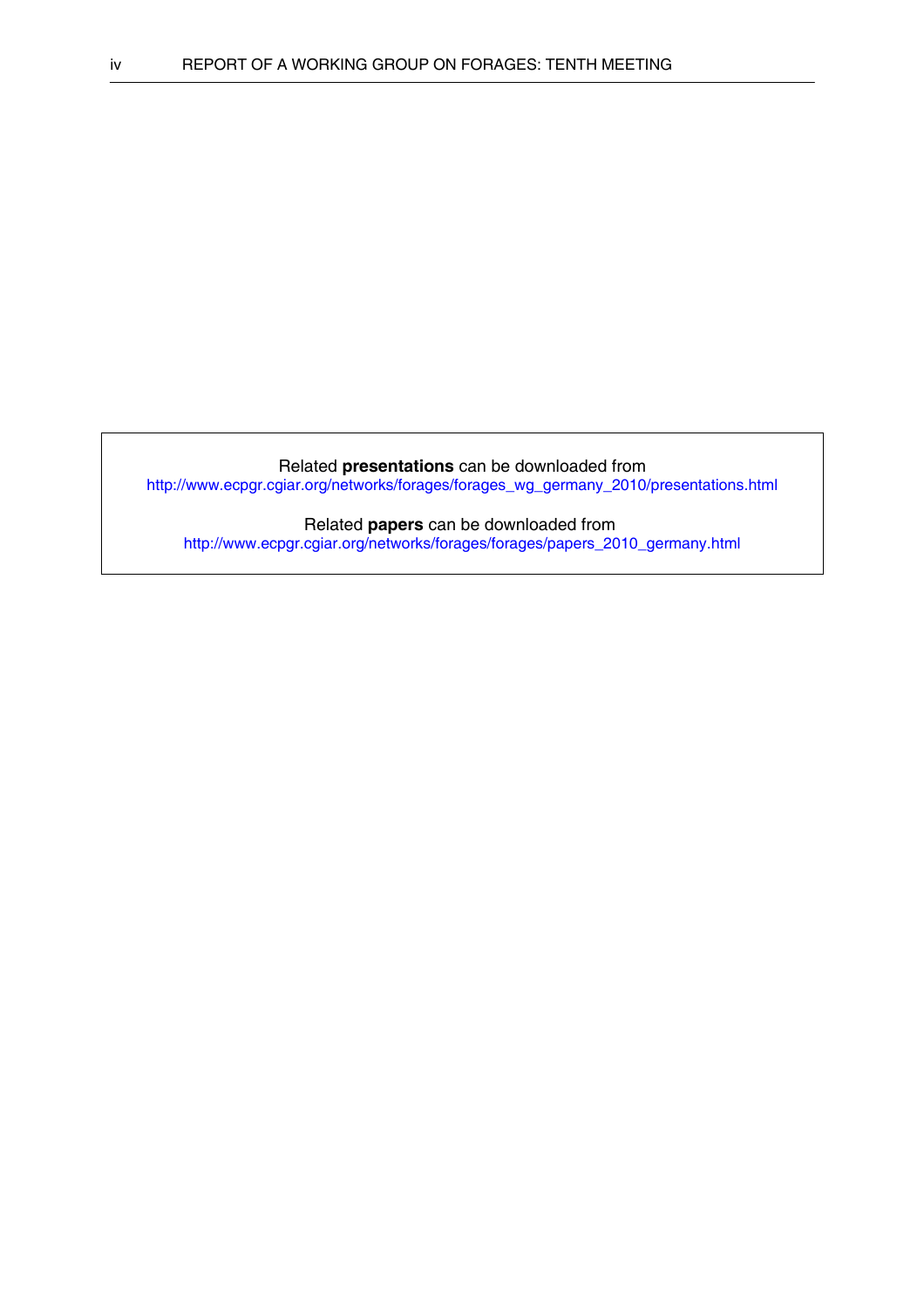Related **presentations** can be downloaded from [http://www.ecpgr.cgiar.org/networks/forages/forages\\_wg\\_germany\\_2010/presentations.html](http://www.ecpgr.cgiar.org/networks/forages/forages_wg_germany_2010/presentations.html)

Related **papers** can be downloaded from [http://www.ecpgr.cgiar.org/networks/forages/forages/papers\\_2010\\_germany.html](http://www.ecpgr.cgiar.org/networks/forages/forages/papers_2010_germany.html)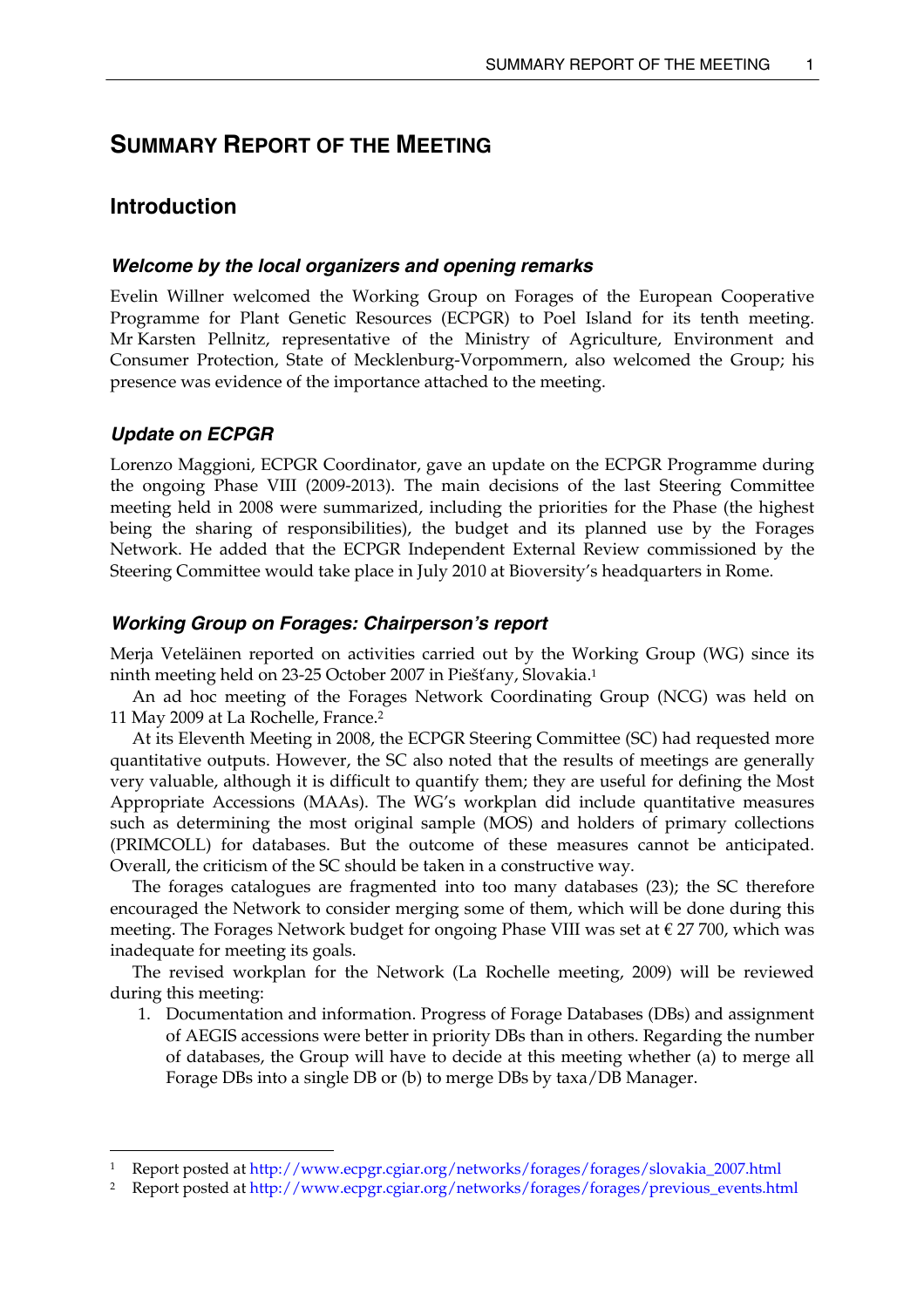# <span id="page-6-0"></span>**SUMMARY REPORT OF THE MEETING**

## **Introduction**

#### *Welcome by the local organizers and opening remarks*

Evelin Willner welcomed the Working Group on Forages of the European Cooperative Programme for Plant Genetic Resources (ECPGR) to Poel Island for its tenth meeting. Mr Karsten Pellnitz, representative of the Ministry of Agriculture, Environment and Consumer Protection, State of Mecklenburg-Vorpommern, also welcomed the Group; his presence was evidence of the importance attached to the meeting.

### *Update on ECPGR*

Lorenzo Maggioni, ECPGR Coordinator, gave an update on the ECPGR Programme during the ongoing Phase VIII (2009-2013). The main decisions of the last Steering Committee meeting held in 2008 were summarized, including the priorities for the Phase (the highest being the sharing of responsibilities), the budget and its planned use by the Forages Network. He added that the ECPGR Independent External Review commissioned by the Steering Committee would take place in July 2010 at Bioversity's headquarters in Rome.

#### *Working Group on Forages: Chairperson's report*

Merja Veteläinen reported on activities carried out by the Working Group (WG) since its ninth meeting held on 23-25 October 2007 in Piešťany, Slovakia.[1](#page-6-1) 

An ad hoc meeting of the Forages Network Coordinating Group (NCG) was held on 11 May 2009 at La Rochelle, France[.2](#page-6-2)

At its Eleventh Meeting in 2008, the ECPGR Steering Committee (SC) had requested more quantitative outputs. However, the SC also noted that the results of meetings are generally very valuable, although it is difficult to quantify them; they are useful for defining the Most Appropriate Accessions (MAAs). The WG's workplan did include quantitative measures such as determining the most original sample (MOS) and holders of primary collections (PRIMCOLL) for databases. But the outcome of these measures cannot be anticipated. Overall, the criticism of the SC should be taken in a constructive way.

The forages catalogues are fragmented into too many databases (23); the SC therefore encouraged the Network to consider merging some of them, which will be done during this meeting. The Forages Network budget for ongoing Phase VIII was set at  $\epsilon$  27 700, which was inadequate for meeting its goals.

The revised workplan for the Network (La Rochelle meeting, 2009) will be reviewed during this meeting:

1. Documentation and information. Progress of Forage Databases (DBs) and assignment of AEGIS accessions were better in priority DBs than in others. Regarding the number of databases, the Group will have to decide at this meeting whether (a) to merge all Forage DBs into a single DB or (b) to merge DBs by taxa/DB Manager.

<span id="page-6-1"></span> <sup>1</sup> Report posted at [http://www.ecpgr.cgiar.org/networks/forages/forages/slovakia\\_2007.html](http://www.ecpgr.cgiar.org/networks/forages/forages/slovakia_2007.html)

<span id="page-6-2"></span><sup>2</sup> Report posted at [http://www.ecpgr.cgiar.org/networks/forages/forages/previous\\_events.html](http://www.ecpgr.cgiar.org/networks/forages/forages/previous_events.html)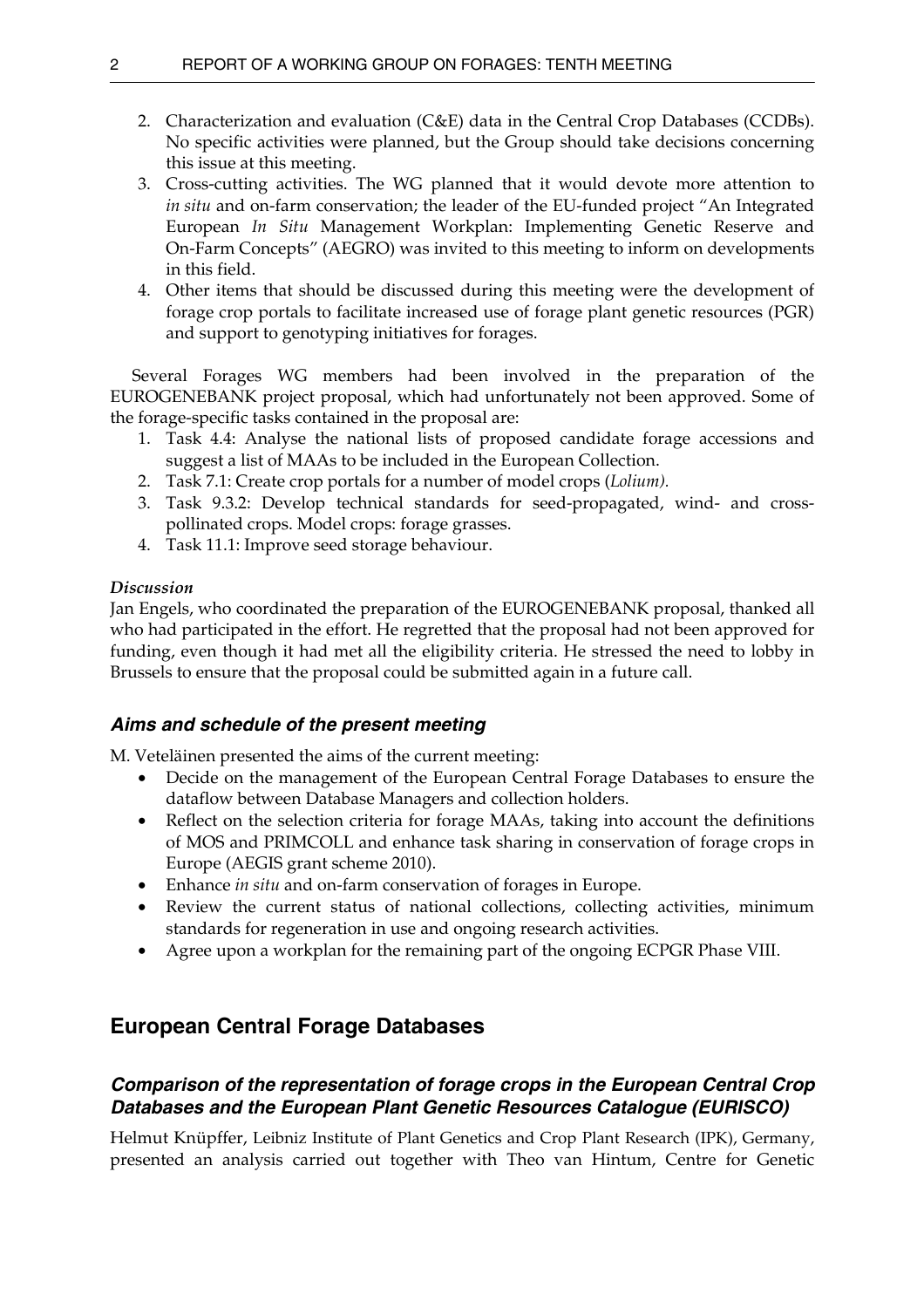- <span id="page-7-0"></span>2. Characterization and evaluation (C&E) data in the Central Crop Databases (CCDBs). No specific activities were planned, but the Group should take decisions concerning this issue at this meeting.
- 3. Cross-cutting activities. The WG planned that it would devote more attention to *in situ* and on-farm conservation; the leader of the EU-funded project "An Integrated European *In Situ* Management Workplan: Implementing Genetic Reserve and On-Farm Concepts" (AEGRO) was invited to this meeting to inform on developments in this field.
- 4. Other items that should be discussed during this meeting were the development of forage crop portals to facilitate increased use of forage plant genetic resources (PGR) and support to genotyping initiatives for forages.

 Several Forages WG members had been involved in the preparation of the EUROGENEBANK project proposal, which had unfortunately not been approved. Some of the forage-specific tasks contained in the proposal are:

- 1. Task 4.4: Analyse the national lists of proposed candidate forage accessions and suggest a list of MAAs to be included in the European Collection.
- 2. Task 7.1: Create crop portals for a number of model crops (*Lolium).*
- 3. Task 9.3.2: Develop technical standards for seed-propagated, wind- and crosspollinated crops. Model crops: forage grasses.
- 4. Task 11.1: Improve seed storage behaviour.

## *Discussion*

Jan Engels, who coordinated the preparation of the EUROGENEBANK proposal, thanked all who had participated in the effort. He regretted that the proposal had not been approved for funding, even though it had met all the eligibility criteria. He stressed the need to lobby in Brussels to ensure that the proposal could be submitted again in a future call.

## *Aims and schedule of the present meeting*

M. Veteläinen presented the aims of the current meeting:

- Decide on the management of the European Central Forage Databases to ensure the dataflow between Database Managers and collection holders.
- Reflect on the selection criteria for forage MAAs, taking into account the definitions of MOS and PRIMCOLL and enhance task sharing in conservation of forage crops in Europe (AEGIS grant scheme 2010).
- Enhance *in situ* and on-farm conservation of forages in Europe.
- Review the current status of national collections, collecting activities, minimum standards for regeneration in use and ongoing research activities.
- Agree upon a workplan for the remaining part of the ongoing ECPGR Phase VIII.

# **European Central Forage Databases**

## *Comparison of the representation of forage crops in the European Central Crop Databases and the European Plant Genetic Resources Catalogue (EURISCO)*

Helmut Knüpffer, Leibniz Institute of Plant Genetics and Crop Plant Research (IPK), Germany, presented an analysis carried out together with Theo van Hintum, Centre for Genetic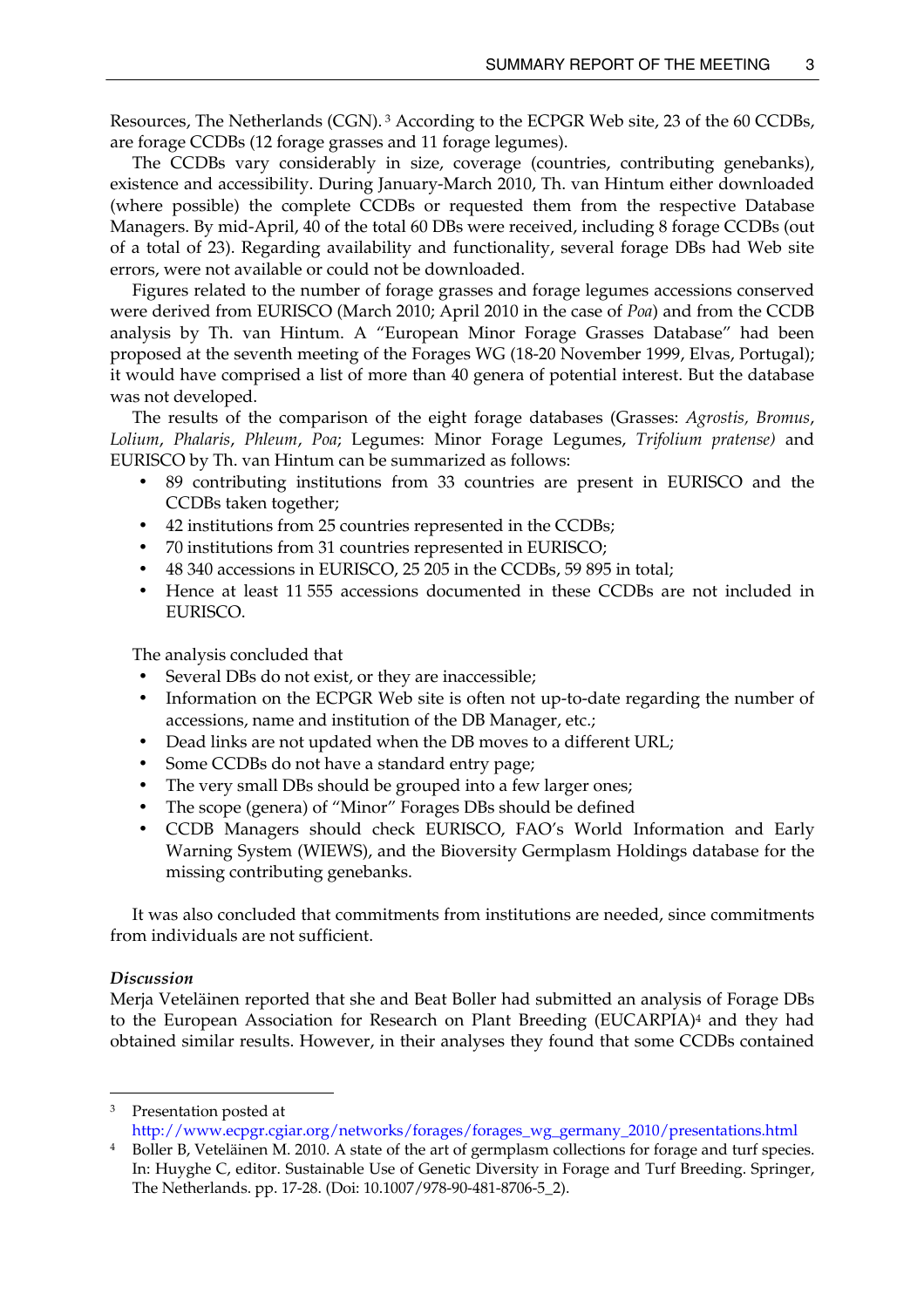Resources, The Netherlands (CGN). [3](#page-8-0) According to the ECPGR Web site, 23 of the 60 CCDBs, are forage CCDBs (12 forage grasses and 11 forage legumes).

The CCDBs vary considerably in size, coverage (countries, contributing genebanks), existence and accessibility. During January-March 2010, Th. van Hintum either downloaded (where possible) the complete CCDBs or requested them from the respective Database Managers. By mid-April, 40 of the total 60 DBs were received, including 8 forage CCDBs (out of a total of 23). Regarding availability and functionality, several forage DBs had Web site errors, were not available or could not be downloaded.

Figures related to the number of forage grasses and forage legumes accessions conserved were derived from EURISCO (March 2010; April 2010 in the case of *Poa*) and from the CCDB analysis by Th. van Hintum. A "European Minor Forage Grasses Database" had been proposed at the seventh meeting of the Forages WG (18-20 November 1999, Elvas, Portugal); it would have comprised a list of more than 40 genera of potential interest. But the database was not developed.

The results of the comparison of the eight forage databases (Grasses: *Agrostis, Bromus*, *Lolium*, *Phalaris*, *Phleum*, *Poa*; Legumes: Minor Forage Legumes, *Trifolium pratense)* and EURISCO by Th. van Hintum can be summarized as follows:

- 89 contributing institutions from 33 countries are present in EURISCO and the CCDBs taken together;
- 42 institutions from 25 countries represented in the CCDBs;
- 70 institutions from 31 countries represented in EURISCO;
- 48 340 accessions in EURISCO, 25 205 in the CCDBs, 59 895 in total;
- Hence at least 11 555 accessions documented in these CCDBs are not included in EURISCO.

The analysis concluded that

- Several DBs do not exist, or they are inaccessible;
- Information on the ECPGR Web site is often not up-to-date regarding the number of accessions, name and institution of the DB Manager, etc.;
- Dead links are not updated when the DB moves to a different URL;
- Some CCDBs do not have a standard entry page;
- The very small DBs should be grouped into a few larger ones;
- The scope (genera) of "Minor" Forages DBs should be defined
- CCDB Managers should check EURISCO, FAO's World Information and Early Warning System (WIEWS), and the Bioversity Germplasm Holdings database for the missing contributing genebanks.

It was also concluded that commitments from institutions are needed, since commitments from individuals are not sufficient.

#### *Discussion*

Merja Veteläinen reported that she and Beat Boller had submitted an analysis of Forage DBs to the European Association for Research on Plant Breeding (EUCARPIA)[4](#page-8-1) and they had obtained similar results. However, in their analyses they found that some CCDBs contained

<span id="page-8-0"></span>3 Presentation posted at

[http://www.ecpgr.cgiar.org/networks/forages/forages\\_wg\\_germany\\_2010/presentations.html](http://www.ecpgr.cgiar.org/networks/forages/forages_wg_germany_2010/presentations.html)

<span id="page-8-1"></span>Boller B, Veteläinen M. 2010. A state of the art of germplasm collections for forage and turf species. In: Huyghe C, editor. Sustainable Use of Genetic Diversity in Forage and Turf Breeding. Springer, The Netherlands. pp. 17-28. (Doi: 10.1007/978-90-481-8706-5\_2).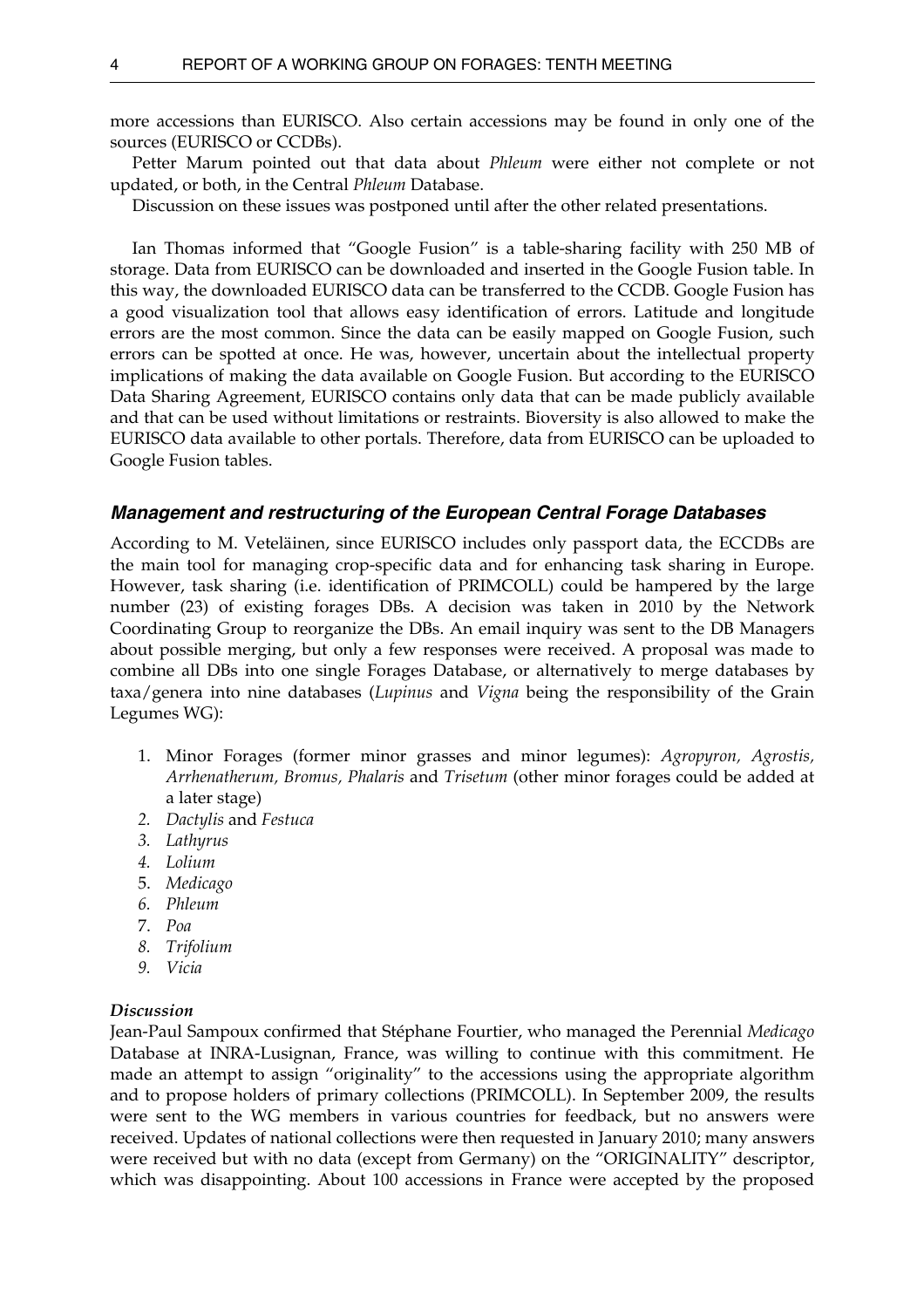<span id="page-9-0"></span>more accessions than EURISCO. Also certain accessions may be found in only one of the sources (EURISCO or CCDBs).

 Petter Marum pointed out that data about *Phleum* were either not complete or not updated, or both, in the Central *Phleum* Database.

Discussion on these issues was postponed until after the other related presentations.

 Ian Thomas informed that "Google Fusion" is a table-sharing facility with 250 MB of storage. Data from EURISCO can be downloaded and inserted in the Google Fusion table. In this way, the downloaded EURISCO data can be transferred to the CCDB. Google Fusion has a good visualization tool that allows easy identification of errors. Latitude and longitude errors are the most common. Since the data can be easily mapped on Google Fusion, such errors can be spotted at once. He was, however, uncertain about the intellectual property implications of making the data available on Google Fusion. But according to the EURISCO Data Sharing Agreement, EURISCO contains only data that can be made publicly available and that can be used without limitations or restraints. Bioversity is also allowed to make the EURISCO data available to other portals. Therefore, data from EURISCO can be uploaded to Google Fusion tables.

#### *Management and restructuring of the European Central Forage Databases*

According to M. Veteläinen, since EURISCO includes only passport data, the ECCDBs are the main tool for managing crop-specific data and for enhancing task sharing in Europe. However, task sharing (i.e. identification of PRIMCOLL) could be hampered by the large number (23) of existing forages DBs. A decision was taken in 2010 by the Network Coordinating Group to reorganize the DBs. An email inquiry was sent to the DB Managers about possible merging, but only a few responses were received. A proposal was made to combine all DBs into one single Forages Database, or alternatively to merge databases by taxa/genera into nine databases (*Lupinus* and *Vigna* being the responsibility of the Grain Legumes WG):

- 1. Minor Forages (former minor grasses and minor legumes): *Agropyron, Agrostis, Arrhenatherum, Bromus, Phalaris* and *Trisetum* (other minor forages could be added at a later stage)
- *2. Dactylis* and *Festuca*
- *3. Lathyrus*
- *4. Lolium*
- 5. *Medicago*
- *6. Phleum*
- 7. *Poa*
- *8. Trifolium*
- *9. Vicia*

#### *Discussion*

Jean-Paul Sampoux confirmed that Stéphane Fourtier, who managed the Perennial *Medicago*  Database at INRA-Lusignan, France, was willing to continue with this commitment. He made an attempt to assign "originality" to the accessions using the appropriate algorithm and to propose holders of primary collections (PRIMCOLL). In September 2009, the results were sent to the WG members in various countries for feedback, but no answers were received. Updates of national collections were then requested in January 2010; many answers were received but with no data (except from Germany) on the "ORIGINALITY" descriptor, which was disappointing. About 100 accessions in France were accepted by the proposed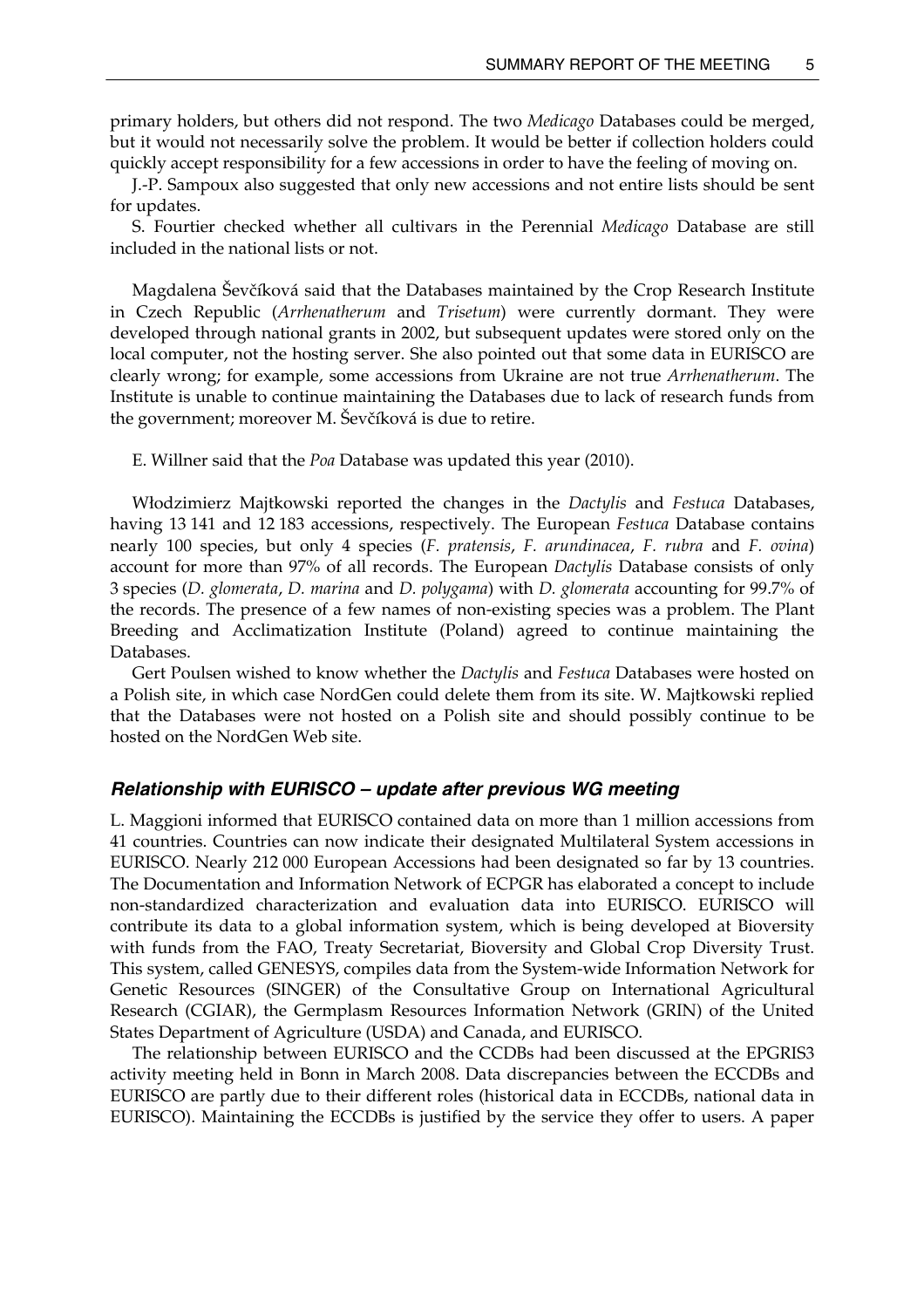<span id="page-10-0"></span>primary holders, but others did not respond. The two *Medicago* Databases could be merged, but it would not necessarily solve the problem. It would be better if collection holders could quickly accept responsibility for a few accessions in order to have the feeling of moving on.

J.-P. Sampoux also suggested that only new accessions and not entire lists should be sent for updates.

S. Fourtier checked whether all cultivars in the Perennial *Medicago* Database are still included in the national lists or not.

 Magdalena Ševčíková said that the Databases maintained by the Crop Research Institute in Czech Republic (*Arrhenatherum* and *Trisetum*) were currently dormant. They were developed through national grants in 2002, but subsequent updates were stored only on the local computer, not the hosting server. She also pointed out that some data in EURISCO are clearly wrong; for example, some accessions from Ukraine are not true *Arrhenatherum*. The Institute is unable to continue maintaining the Databases due to lack of research funds from the government; moreover M. Ševčíková is due to retire.

E. Willner said that the *Poa* Database was updated this year (2010).

 Włodzimierz Majtkowski reported the changes in the *Dactylis* and *Festuca* Databases, having 13 141 and 12 183 accessions, respectively. The European *Festuca* Database contains nearly 100 species, but only 4 species (*F. pratensis*, *F. arundinacea*, *F. rubra* and *F. ovina*) account for more than 97% of all records. The European *Dactylis* Database consists of only 3 species (*D. glomerata*, *D. marina* and *D. polygama*) with *D. glomerata* accounting for 99.7% of the records. The presence of a few names of non-existing species was a problem. The Plant Breeding and Acclimatization Institute (Poland) agreed to continue maintaining the Databases.

Gert Poulsen wished to know whether the *Dactylis* and *Festuca* Databases were hosted on a Polish site, in which case NordGen could delete them from its site. W. Majtkowski replied that the Databases were not hosted on a Polish site and should possibly continue to be hosted on the NordGen Web site.

### *Relationship with EURISCO – update after previous WG meeting*

L. Maggioni informed that EURISCO contained data on more than 1 million accessions from 41 countries. Countries can now indicate their designated Multilateral System accessions in EURISCO. Nearly 212 000 European Accessions had been designated so far by 13 countries. The Documentation and Information Network of ECPGR has elaborated a concept to include non-standardized characterization and evaluation data into EURISCO. EURISCO will contribute its data to a global information system, which is being developed at Bioversity with funds from the FAO, Treaty Secretariat, Bioversity and Global Crop Diversity Trust. This system, called GENESYS, compiles data from the System-wide Information Network for Genetic Resources (SINGER) of the Consultative Group on International Agricultural Research (CGIAR), the Germplasm Resources Information Network (GRIN) of the United States Department of Agriculture (USDA) and Canada, and EURISCO.

The relationship between EURISCO and the CCDBs had been discussed at the EPGRIS3 activity meeting held in Bonn in March 2008. Data discrepancies between the ECCDBs and EURISCO are partly due to their different roles (historical data in ECCDBs, national data in EURISCO). Maintaining the ECCDBs is justified by the service they offer to users. A paper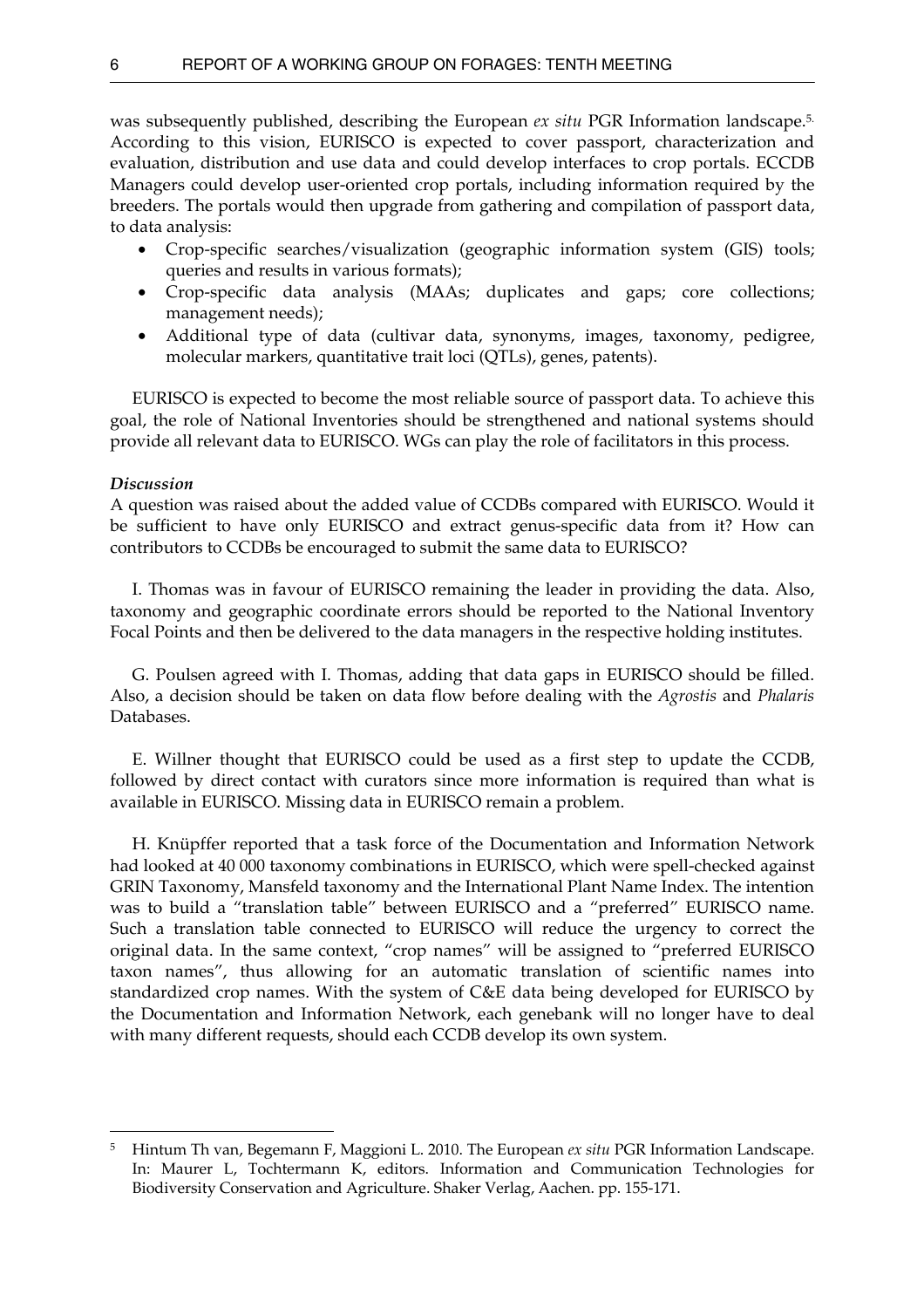was subsequently published, describing the European *ex situ* PGR Information landscape.[5.](#page-11-0) According to this vision, EURISCO is expected to cover passport, characterization and evaluation, distribution and use data and could develop interfaces to crop portals. ECCDB Managers could develop user-oriented crop portals, including information required by the breeders. The portals would then upgrade from gathering and compilation of passport data, to data analysis:

- Crop-specific searches/visualization (geographic information system (GIS) tools; queries and results in various formats);
- Crop-specific data analysis (MAAs; duplicates and gaps; core collections; management needs);
- Additional type of data (cultivar data, synonyms, images, taxonomy, pedigree, molecular markers, quantitative trait loci (QTLs), genes, patents).

 EURISCO is expected to become the most reliable source of passport data. To achieve this goal, the role of National Inventories should be strengthened and national systems should provide all relevant data to EURISCO. WGs can play the role of facilitators in this process.

#### *Discussion*

 $\overline{a}$ 

A question was raised about the added value of CCDBs compared with EURISCO. Would it be sufficient to have only EURISCO and extract genus-specific data from it? How can contributors to CCDBs be encouraged to submit the same data to EURISCO?

 I. Thomas was in favour of EURISCO remaining the leader in providing the data. Also, taxonomy and geographic coordinate errors should be reported to the National Inventory Focal Points and then be delivered to the data managers in the respective holding institutes.

 G. Poulsen agreed with I. Thomas, adding that data gaps in EURISCO should be filled. Also, a decision should be taken on data flow before dealing with the *Agrostis* and *Phalaris*  Databases.

 E. Willner thought that EURISCO could be used as a first step to update the CCDB, followed by direct contact with curators since more information is required than what is available in EURISCO. Missing data in EURISCO remain a problem.

 H. Knüpffer reported that a task force of the Documentation and Information Network had looked at 40 000 taxonomy combinations in EURISCO, which were spell-checked against GRIN Taxonomy, Mansfeld taxonomy and the International Plant Name Index. The intention was to build a "translation table" between EURISCO and a "preferred" EURISCO name. Such a translation table connected to EURISCO will reduce the urgency to correct the original data. In the same context, "crop names" will be assigned to "preferred EURISCO taxon names", thus allowing for an automatic translation of scientific names into standardized crop names. With the system of C&E data being developed for EURISCO by the Documentation and Information Network, each genebank will no longer have to deal with many different requests, should each CCDB develop its own system.

<span id="page-11-0"></span><sup>5</sup> Hintum Th van, Begemann F, Maggioni L. 2010. The European *ex situ* PGR Information Landscape. In: Maurer L, Tochtermann K, editors. Information and Communication Technologies for Biodiversity Conservation and Agriculture. Shaker Verlag, Aachen. pp. 155-171.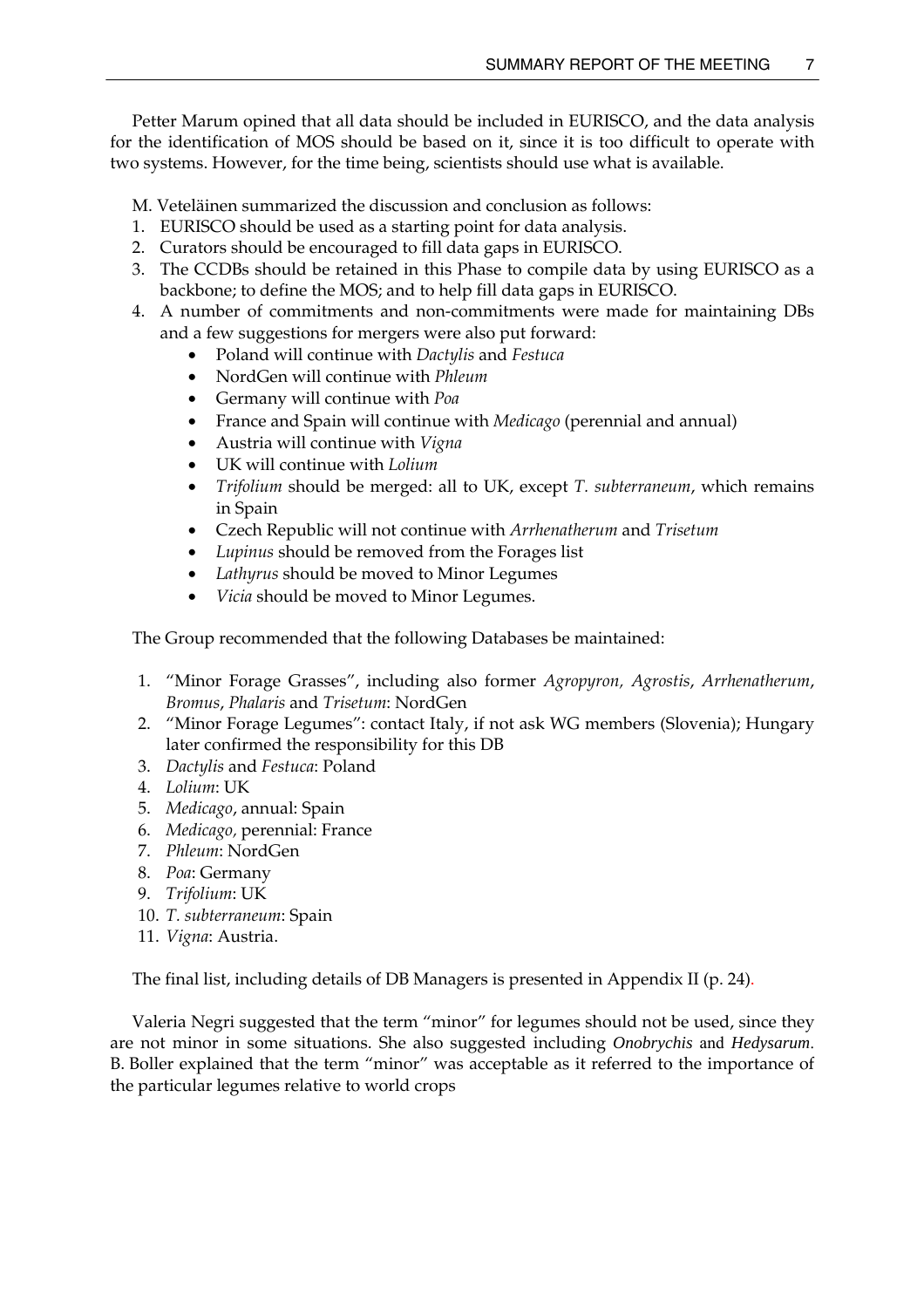Petter Marum opined that all data should be included in EURISCO, and the data analysis for the identification of MOS should be based on it, since it is too difficult to operate with two systems. However, for the time being, scientists should use what is available.

M. Veteläinen summarized the discussion and conclusion as follows:

- 1. EURISCO should be used as a starting point for data analysis.
- 2. Curators should be encouraged to fill data gaps in EURISCO.
- 3. The CCDBs should be retained in this Phase to compile data by using EURISCO as a backbone; to define the MOS; and to help fill data gaps in EURISCO.
- 4. A number of commitments and non-commitments were made for maintaining DBs and a few suggestions for mergers were also put forward:
	- Poland will continue with *Dactylis* and *Festuca*
	- NordGen will continue with *Phleum*
	- Germany will continue with *Poa*
	- France and Spain will continue with *Medicago* (perennial and annual)
	- Austria will continue with *Vigna*
	- UK will continue with *Lolium*
	- *Trifolium* should be merged: all to UK, except *T. subterraneum*, which remains in Spain
	- Czech Republic will not continue with *Arrhenatherum* and *Trisetum*
	- *Lupinus* should be removed from the Forages list
	- *Lathyrus* should be moved to Minor Legumes
	- *Vicia* should be moved to Minor Legumes.

The Group recommended that the following Databases be maintained:

- 1. "Minor Forage Grasses", including also former *Agropyron, Agrostis*, *Arrhenatherum*, *Bromus*, *Phalaris* and *Trisetum*: NordGen
- 2. "Minor Forage Legumes": contact Italy, if not ask WG members (Slovenia); Hungary later confirmed the responsibility for this DB
- 3. *Dactylis* and *Festuca*: Poland
- 4. *Lolium*: UK
- 5. *Medicago*, annual: Spain
- 6. *Medicago,* perennial: France
- 7. *Phleum*: NordGen
- 8. *Poa*: Germany
- 9. *Trifolium*: UK
- 10. *T. subterraneum*: Spain
- 11. *Vigna*: Austria.

The final list, including details of DB Managers is presented in Appendix II (p. 24).

Valeria Negri suggested that the term "minor" for legumes should not be used, since they are not minor in some situations. She also suggested including *Onobrychis* and *Hedysarum*. B. Boller explained that the term "minor" was acceptable as it referred to the importance of the particular legumes relative to world crops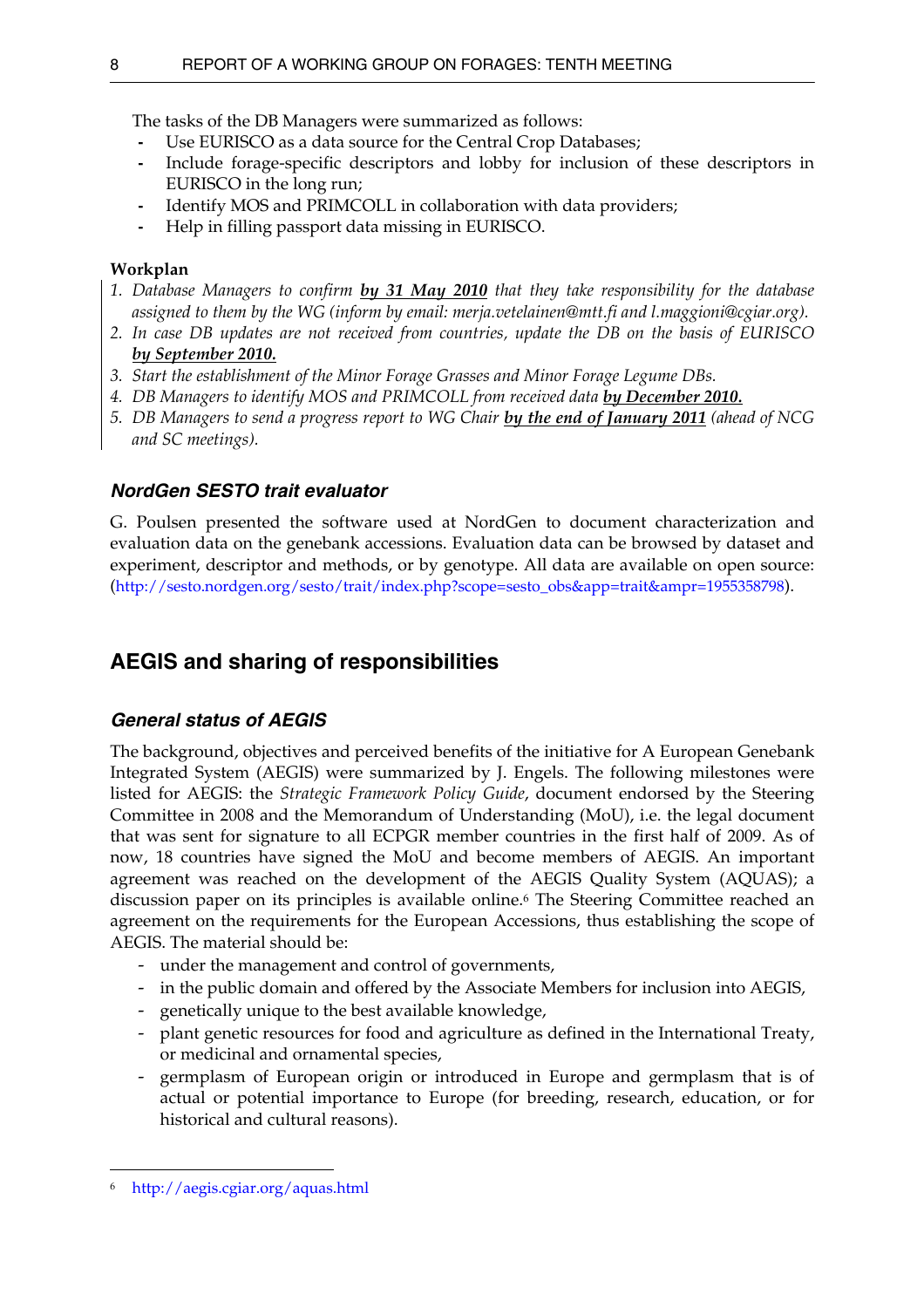<span id="page-13-0"></span>The tasks of the DB Managers were summarized as follows:

- Use EURISCO as a data source for the Central Crop Databases;
- Include forage-specific descriptors and lobby for inclusion of these descriptors in EURISCO in the long run;
- Identify MOS and PRIMCOLL in collaboration with data providers;
- Help in filling passport data missing in EURISCO.

### **Workplan**

- *1. Database Managers to confirm by 31 May 2010 that they take responsibility for the database assigned to them by the WG (inform by email: merja.vetelainen@mtt.fi and l.maggioni@cgiar.org).*
- *2. In case DB updates are not received from countries, update the DB on the basis of EURISCO by September 2010.*
- *3. Start the establishment of the Minor Forage Grasses and Minor Forage Legume DBs.*
- 4. DB Managers to identify MOS and PRIMCOLL from received data *by December 2010*.
- *5. DB Managers to send a progress report to WG Chair by the end of January 2011 (ahead of NCG and SC meetings).*

## *NordGen SESTO trait evaluator*

G. Poulsen presented the software used at NordGen to document characterization and evaluation data on the genebank accessions. Evaluation data can be browsed by dataset and experiment, descriptor and methods, or by genotype. All data are available on open source: ([http://sesto.nordgen.org/sesto/trait/index.php?scope=sesto\\_obs&app=trait&ampr=1955358798](http://sesto.nordgen.org/sesto/trait/index.php?scope=sesto_obs&app=trait&r=1955358798)).

# **AEGIS and sharing of responsibilities**

## *General status of AEGIS*

The background, objectives and perceived benefits of the initiative for A European Genebank Integrated System (AEGIS) were summarized by J. Engels. The following milestones were listed for AEGIS: the *Strategic Framework Policy Guide*, document endorsed by the Steering Committee in 2008 and the Memorandum of Understanding (MoU), i.e. the legal document that was sent for signature to all ECPGR member countries in the first half of 2009. As of now, 18 countries have signed the MoU and become members of AEGIS. An important agreement was reached on the development of the AEGIS Quality System (AQUAS); a discussion paper on its principles is available online.[6](#page-13-1) The Steering Committee reached an agreement on the requirements for the European Accessions, thus establishing the scope of AEGIS. The material should be:

- under the management and control of governments,
- in the public domain and offered by the Associate Members for inclusion into AEGIS,
- genetically unique to the best available knowledge,
- plant genetic resources for food and agriculture as defined in the International Treaty, or medicinal and ornamental species,
- germplasm of European origin or introduced in Europe and germplasm that is of actual or potential importance to Europe (for breeding, research, education, or for historical and cultural reasons).

 $\overline{a}$ 

<span id="page-13-1"></span><sup>6</sup> <http://aegis.cgiar.org/aquas.html>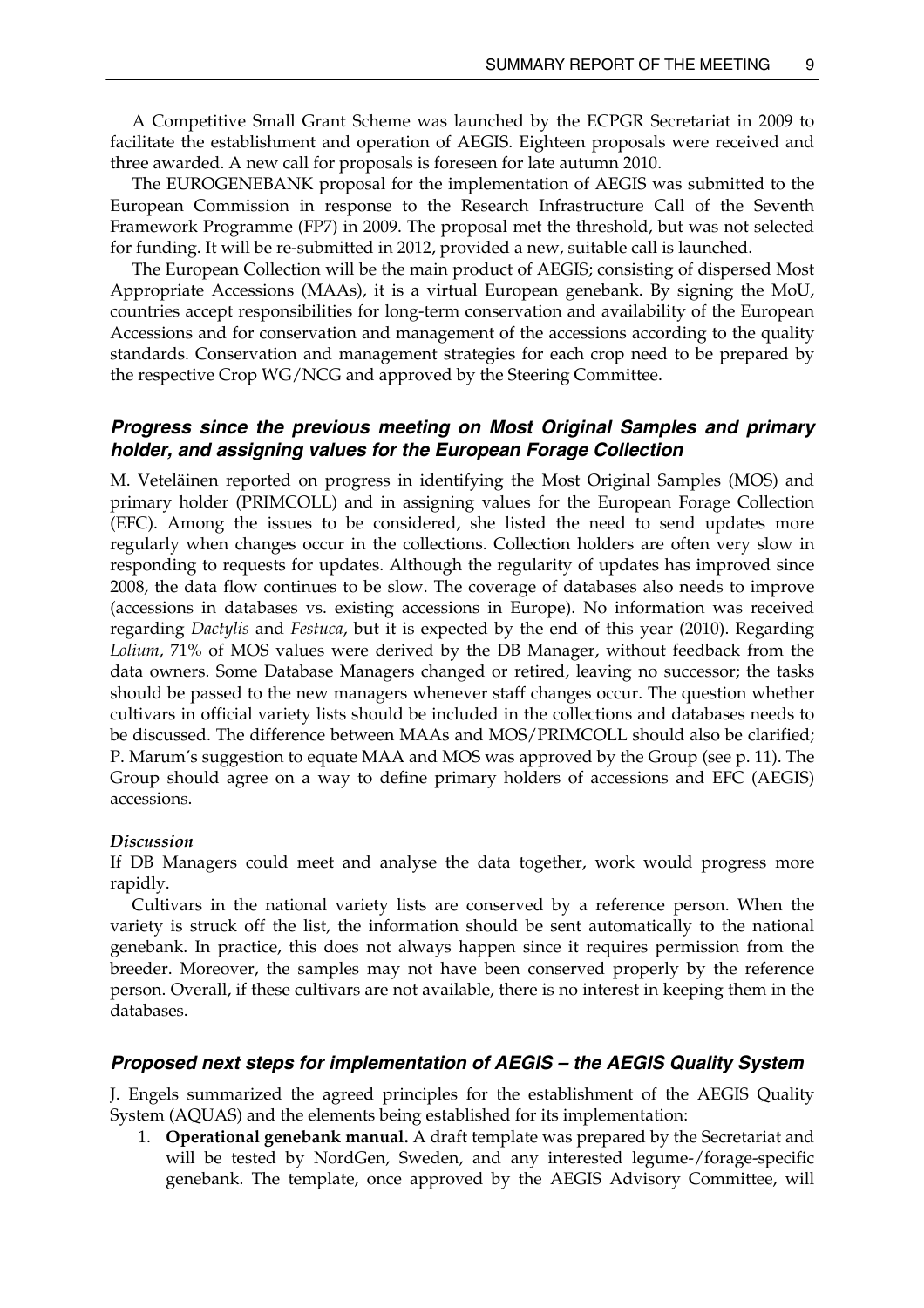<span id="page-14-0"></span>A Competitive Small Grant Scheme was launched by the ECPGR Secretariat in 2009 to facilitate the establishment and operation of AEGIS. Eighteen proposals were received and three awarded. A new call for proposals is foreseen for late autumn 2010.

The EUROGENEBANK proposal for the implementation of AEGIS was submitted to the European Commission in response to the Research Infrastructure Call of the Seventh Framework Programme (FP7) in 2009. The proposal met the threshold, but was not selected for funding. It will be re-submitted in 2012, provided a new, suitable call is launched.

The European Collection will be the main product of AEGIS; consisting of dispersed Most Appropriate Accessions (MAAs), it is a virtual European genebank. By signing the MoU, countries accept responsibilities for long-term conservation and availability of the European Accessions and for conservation and management of the accessions according to the quality standards. Conservation and management strategies for each crop need to be prepared by the respective Crop WG/NCG and approved by the Steering Committee.

## *Progress since the previous meeting on Most Original Samples and primary holder, and assigning values for the European Forage Collection*

M. Veteläinen reported on progress in identifying the Most Original Samples (MOS) and primary holder (PRIMCOLL) and in assigning values for the European Forage Collection (EFC). Among the issues to be considered, she listed the need to send updates more regularly when changes occur in the collections. Collection holders are often very slow in responding to requests for updates. Although the regularity of updates has improved since 2008, the data flow continues to be slow. The coverage of databases also needs to improve (accessions in databases vs. existing accessions in Europe). No information was received regarding *Dactylis* and *Festuca*, but it is expected by the end of this year (2010). Regarding *Lolium*, 71% of MOS values were derived by the DB Manager, without feedback from the data owners. Some Database Managers changed or retired, leaving no successor; the tasks should be passed to the new managers whenever staff changes occur. The question whether cultivars in official variety lists should be included in the collections and databases needs to be discussed. The difference between MAAs and MOS/PRIMCOLL should also be clarified; P. Marum's suggestion to equate MAA and MOS was approved by the Group (see p. 11). The Group should agree on a way to define primary holders of accessions and EFC (AEGIS) accessions.

#### *Discussion*

If DB Managers could meet and analyse the data together, work would progress more rapidly.

Cultivars in the national variety lists are conserved by a reference person. When the variety is struck off the list, the information should be sent automatically to the national genebank. In practice, this does not always happen since it requires permission from the breeder. Moreover, the samples may not have been conserved properly by the reference person. Overall, if these cultivars are not available, there is no interest in keeping them in the databases.

### *Proposed next steps for implementation of AEGIS – the AEGIS Quality System*

J. Engels summarized the agreed principles for the establishment of the AEGIS Quality System (AQUAS) and the elements being established for its implementation:

1. **Operational genebank manual.** A draft template was prepared by the Secretariat and will be tested by NordGen, Sweden, and any interested legume-/forage-specific genebank. The template, once approved by the AEGIS Advisory Committee, will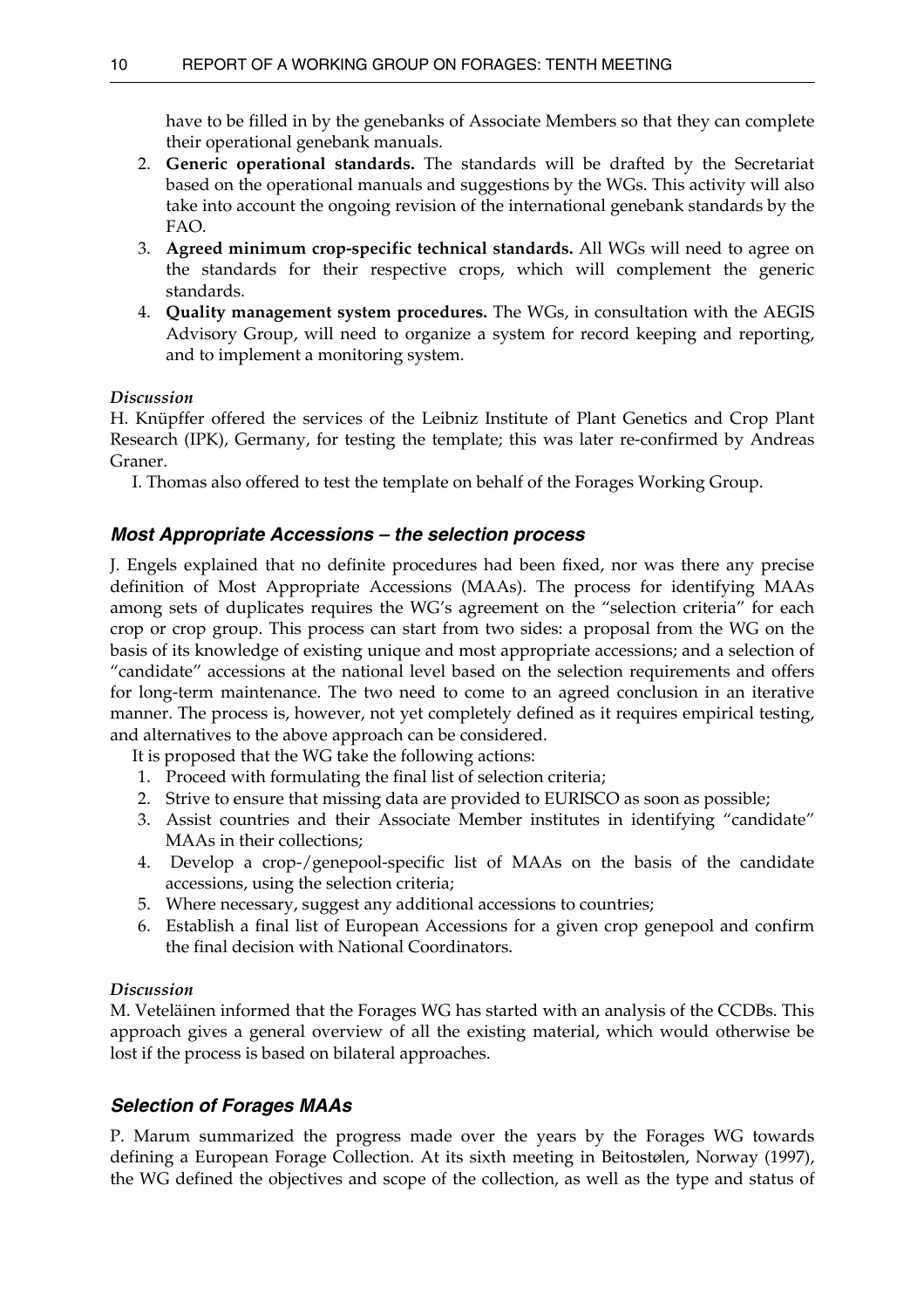<span id="page-15-0"></span>have to be filled in by the genebanks of Associate Members so that they can complete their operational genebank manuals.

- 2. **Generic operational standards.** The standards will be drafted by the Secretariat based on the operational manuals and suggestions by the WGs. This activity will also take into account the ongoing revision of the international genebank standards by the FAO.
- 3. **Agreed minimum crop-specific technical standards.** All WGs will need to agree on the standards for their respective crops, which will complement the generic standards.
- 4. **Quality management system procedures.** The WGs, in consultation with the AEGIS Advisory Group, will need to organize a system for record keeping and reporting, and to implement a monitoring system.

### *Discussion*

H. Knüpffer offered the services of the Leibniz Institute of Plant Genetics and Crop Plant Research (IPK), Germany, for testing the template; this was later re-confirmed by Andreas Graner.

I. Thomas also offered to test the template on behalf of the Forages Working Group.

## *Most Appropriate Accessions – the selection process*

J. Engels explained that no definite procedures had been fixed, nor was there any precise definition of Most Appropriate Accessions (MAAs). The process for identifying MAAs among sets of duplicates requires the WG's agreement on the "selection criteria" for each crop or crop group. This process can start from two sides: a proposal from the WG on the basis of its knowledge of existing unique and most appropriate accessions; and a selection of "candidate" accessions at the national level based on the selection requirements and offers for long-term maintenance. The two need to come to an agreed conclusion in an iterative manner. The process is, however, not yet completely defined as it requires empirical testing, and alternatives to the above approach can be considered.

It is proposed that the WG take the following actions:

- 1. Proceed with formulating the final list of selection criteria;
- 2. Strive to ensure that missing data are provided to EURISCO as soon as possible;
- 3. Assist countries and their Associate Member institutes in identifying "candidate" MAAs in their collections;
- 4. Develop a crop-/genepool-specific list of MAAs on the basis of the candidate accessions, using the selection criteria;
- 5. Where necessary, suggest any additional accessions to countries;
- 6. Establish a final list of European Accessions for a given crop genepool and confirm the final decision with National Coordinators.

### *Discussion*

M. Veteläinen informed that the Forages WG has started with an analysis of the CCDBs. This approach gives a general overview of all the existing material, which would otherwise be lost if the process is based on bilateral approaches.

## *Selection of Forages MAAs*

P. Marum summarized the progress made over the years by the Forages WG towards defining a European Forage Collection. At its sixth meeting in Beitostølen, Norway (1997), the WG defined the objectives and scope of the collection, as well as the type and status of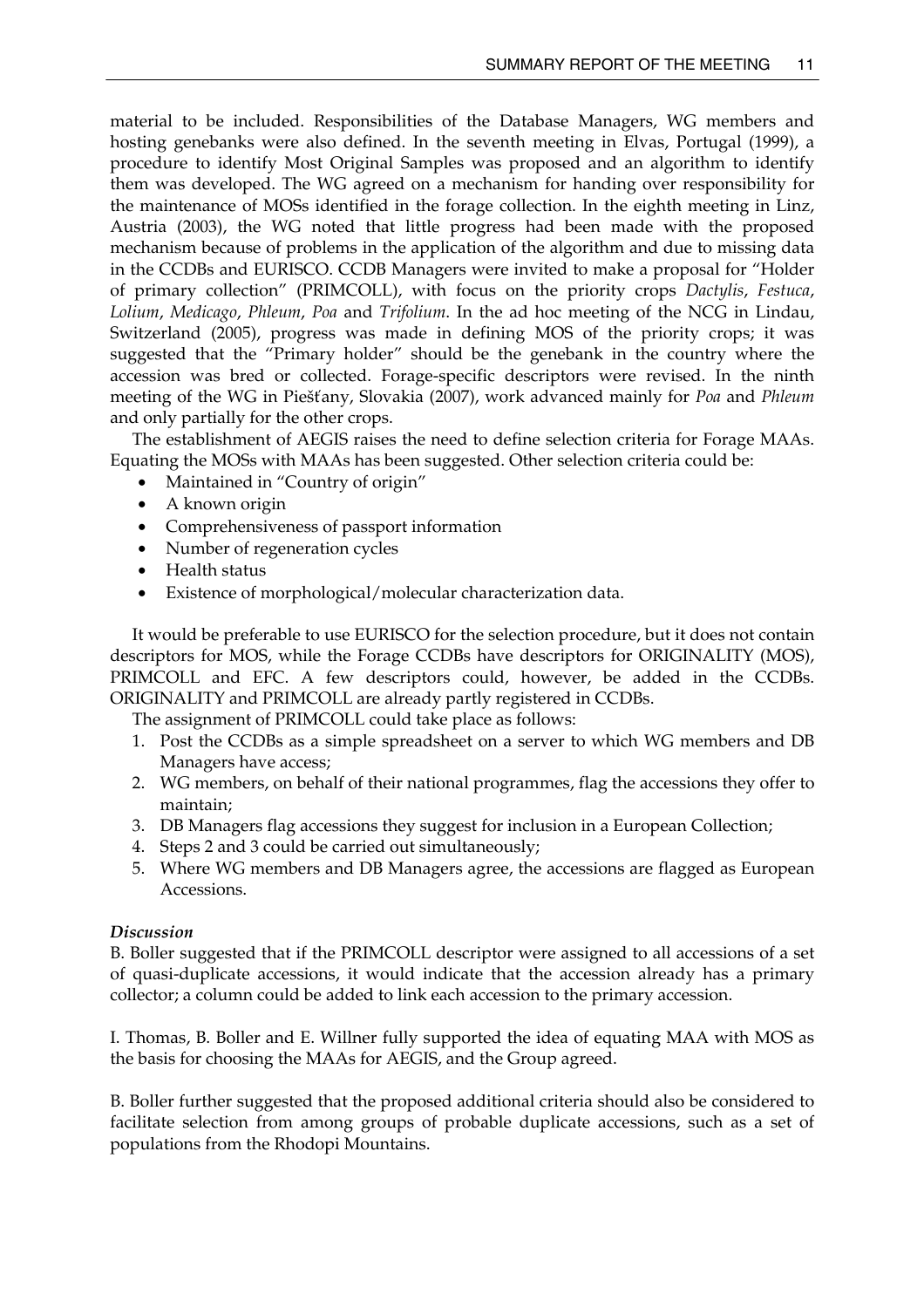material to be included. Responsibilities of the Database Managers, WG members and hosting genebanks were also defined. In the seventh meeting in Elvas, Portugal (1999), a procedure to identify Most Original Samples was proposed and an algorithm to identify them was developed. The WG agreed on a mechanism for handing over responsibility for the maintenance of MOSs identified in the forage collection. In the eighth meeting in Linz, Austria (2003), the WG noted that little progress had been made with the proposed mechanism because of problems in the application of the algorithm and due to missing data in the CCDBs and EURISCO. CCDB Managers were invited to make a proposal for "Holder of primary collection" (PRIMCOLL), with focus on the priority crops *Dactylis*, *Festuca*, *Lolium*, *Medicago*, *Phleum*, *Poa* and *Trifolium*. In the ad hoc meeting of the NCG in Lindau, Switzerland (2005), progress was made in defining MOS of the priority crops; it was suggested that the "Primary holder" should be the genebank in the country where the accession was bred or collected. Forage-specific descriptors were revised. In the ninth meeting of the WG in Piešťany, Slovakia (2007), work advanced mainly for *Poa* and *Phleum* and only partially for the other crops.

The establishment of AEGIS raises the need to define selection criteria for Forage MAAs. Equating the MOSs with MAAs has been suggested. Other selection criteria could be:

- Maintained in "Country of origin"
- A known origin
- Comprehensiveness of passport information
- Number of regeneration cycles
- Health status
- Existence of morphological/molecular characterization data.

It would be preferable to use EURISCO for the selection procedure, but it does not contain descriptors for MOS, while the Forage CCDBs have descriptors for ORIGINALITY (MOS), PRIMCOLL and EFC. A few descriptors could, however, be added in the CCDBs. ORIGINALITY and PRIMCOLL are already partly registered in CCDBs.

The assignment of PRIMCOLL could take place as follows:

- 1. Post the CCDBs as a simple spreadsheet on a server to which WG members and DB Managers have access;
- 2. WG members, on behalf of their national programmes, flag the accessions they offer to maintain;
- 3. DB Managers flag accessions they suggest for inclusion in a European Collection;
- 4. Steps 2 and 3 could be carried out simultaneously;
- 5. Where WG members and DB Managers agree, the accessions are flagged as European Accessions.

## *Discussion*

B. Boller suggested that if the PRIMCOLL descriptor were assigned to all accessions of a set of quasi-duplicate accessions, it would indicate that the accession already has a primary collector; a column could be added to link each accession to the primary accession.

I. Thomas, B. Boller and E. Willner fully supported the idea of equating MAA with MOS as the basis for choosing the MAAs for AEGIS, and the Group agreed.

B. Boller further suggested that the proposed additional criteria should also be considered to facilitate selection from among groups of probable duplicate accessions, such as a set of populations from the Rhodopi Mountains.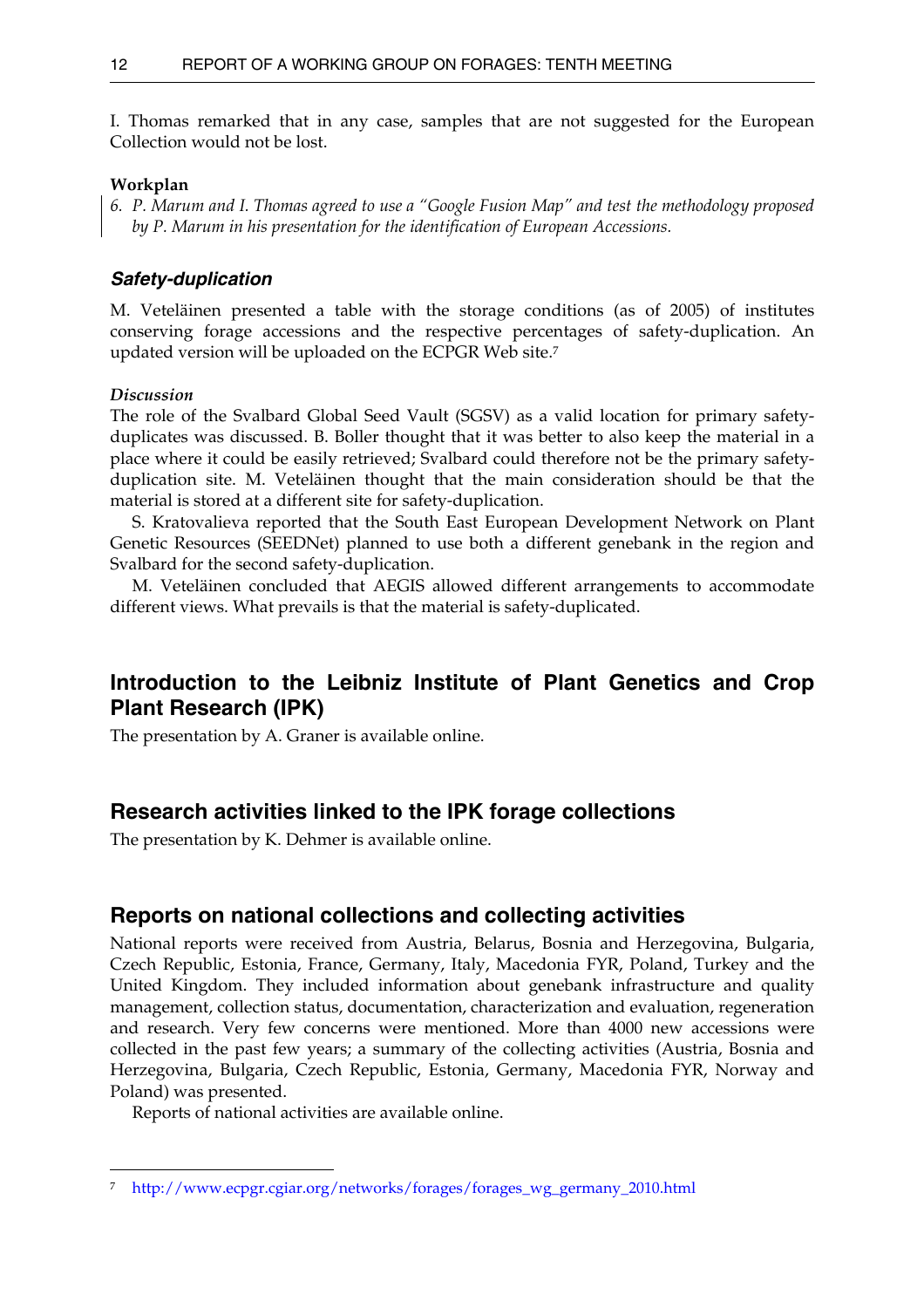<span id="page-17-0"></span>I. Thomas remarked that in any case, samples that are not suggested for the European Collection would not be lost.

#### **Workplan**

*6. P. Marum and I. Thomas agreed to use a "Google Fusion Map" and test the methodology proposed by P. Marum in his presentation for the identification of European Accessions.* 

#### *Safety-duplication*

M. Veteläinen presented a table with the storage conditions (as of 2005) of institutes conserving forage accessions and the respective percentages of safety-duplication. An updated version will be uploaded on the ECPGR Web site[.7](#page-17-1) 

#### *Discussion*

 $\overline{a}$ 

The role of the Svalbard Global Seed Vault (SGSV) as a valid location for primary safetyduplicates was discussed. B. Boller thought that it was better to also keep the material in a place where it could be easily retrieved; Svalbard could therefore not be the primary safetyduplication site. M. Veteläinen thought that the main consideration should be that the material is stored at a different site for safety-duplication.

 S. Kratovalieva reported that the South East European Development Network on Plant Genetic Resources (SEEDNet) planned to use both a different genebank in the region and Svalbard for the second safety-duplication.

 M. Veteläinen concluded that AEGIS allowed different arrangements to accommodate different views. What prevails is that the material is safety-duplicated.

# **Introduction to the Leibniz Institute of Plant Genetics and Crop Plant Research (IPK)**

The presentation by A. Graner is available online.

## **Research activities linked to the IPK forage collections**

The presentation by K. Dehmer is available online.

## **Reports on national collections and collecting activities**

National reports were received from Austria, Belarus, Bosnia and Herzegovina, Bulgaria, Czech Republic, Estonia, France, Germany, Italy, Macedonia FYR, Poland, Turkey and the United Kingdom. They included information about genebank infrastructure and quality management, collection status, documentation, characterization and evaluation, regeneration and research. Very few concerns were mentioned. More than 4000 new accessions were collected in the past few years; a summary of the collecting activities (Austria, Bosnia and Herzegovina, Bulgaria, Czech Republic, Estonia, Germany, Macedonia FYR, Norway and Poland) was presented.

Reports of national activities are available online.

<span id="page-17-1"></span><sup>7</sup> [http://www.ecpgr.cgiar.org/networks/forages/forages\\_wg\\_germany\\_2010.html](http://www.ecpgr.cgiar.org/networks/forages/forages_wg_germany_2010.html)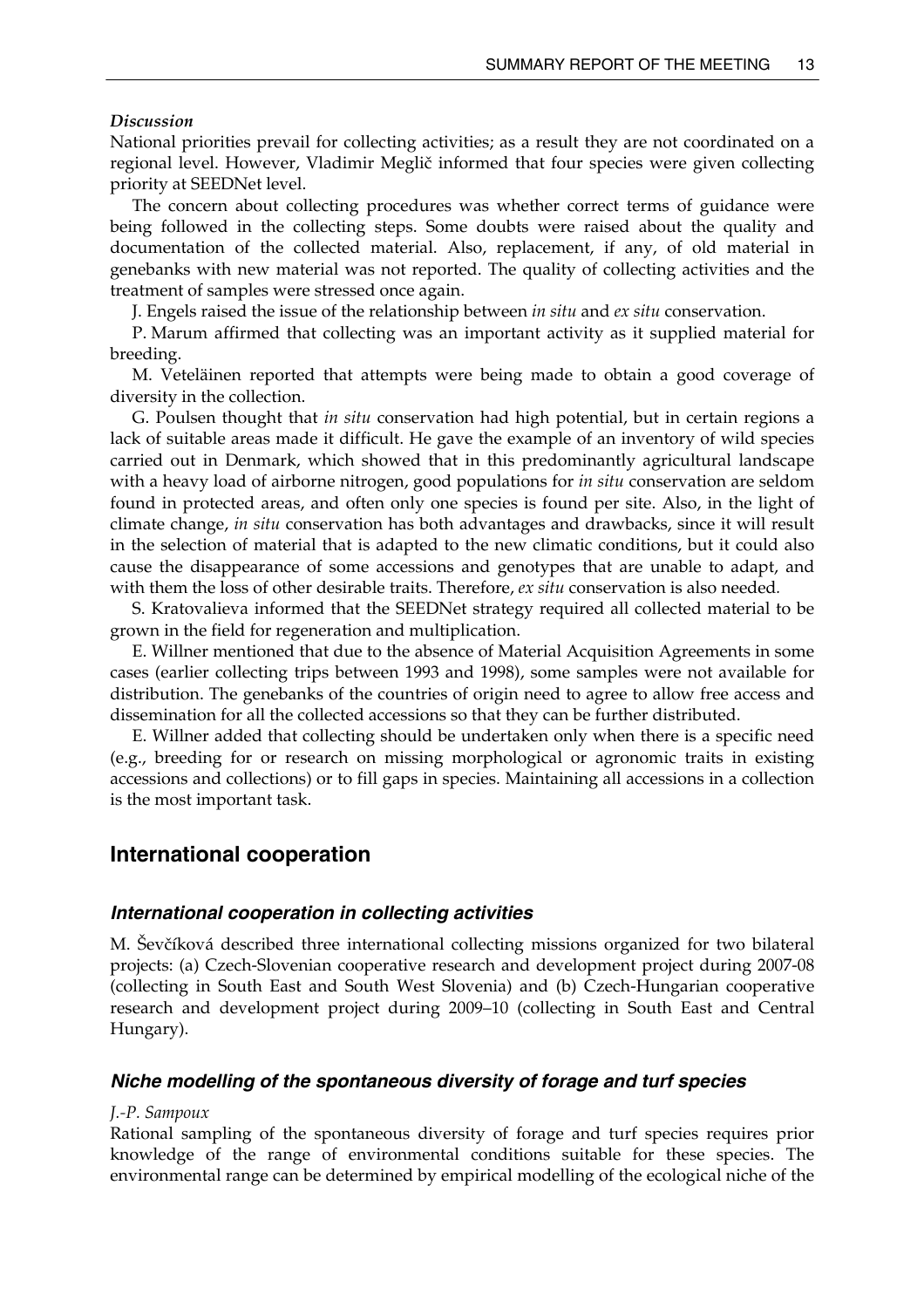#### <span id="page-18-0"></span>*Discussion*

National priorities prevail for collecting activities; as a result they are not coordinated on a regional level. However, Vladimir Meglič informed that four species were given collecting priority at SEEDNet level.

The concern about collecting procedures was whether correct terms of guidance were being followed in the collecting steps. Some doubts were raised about the quality and documentation of the collected material. Also, replacement, if any, of old material in genebanks with new material was not reported. The quality of collecting activities and the treatment of samples were stressed once again.

J. Engels raised the issue of the relationship between *in situ* and *ex situ* conservation.

P. Marum affirmed that collecting was an important activity as it supplied material for breeding.

M. Veteläinen reported that attempts were being made to obtain a good coverage of diversity in the collection.

G. Poulsen thought that *in situ* conservation had high potential, but in certain regions a lack of suitable areas made it difficult. He gave the example of an inventory of wild species carried out in Denmark, which showed that in this predominantly agricultural landscape with a heavy load of airborne nitrogen, good populations for *in situ* conservation are seldom found in protected areas, and often only one species is found per site. Also, in the light of climate change, *in situ* conservation has both advantages and drawbacks, since it will result in the selection of material that is adapted to the new climatic conditions, but it could also cause the disappearance of some accessions and genotypes that are unable to adapt, and with them the loss of other desirable traits. Therefore, *ex situ* conservation is also needed*.*

S. Kratovalieva informed that the SEEDNet strategy required all collected material to be grown in the field for regeneration and multiplication.

E. Willner mentioned that due to the absence of Material Acquisition Agreements in some cases (earlier collecting trips between 1993 and 1998), some samples were not available for distribution. The genebanks of the countries of origin need to agree to allow free access and dissemination for all the collected accessions so that they can be further distributed.

E. Willner added that collecting should be undertaken only when there is a specific need (e.g., breeding for or research on missing morphological or agronomic traits in existing accessions and collections) or to fill gaps in species. Maintaining all accessions in a collection is the most important task.

### **International cooperation**

#### *International cooperation in collecting activities*

M. Ševčíková described three international collecting missions organized for two bilateral projects: (a) Czech-Slovenian cooperative research and development project during 2007-08 (collecting in South East and South West Slovenia) and (b) Czech-Hungarian cooperative research and development project during 2009–10 (collecting in South East and Central Hungary).

#### *Niche modelling of the spontaneous diversity of forage and turf species*

#### *J.-P. Sampoux*

Rational sampling of the spontaneous diversity of forage and turf species requires prior knowledge of the range of environmental conditions suitable for these species. The environmental range can be determined by empirical modelling of the ecological niche of the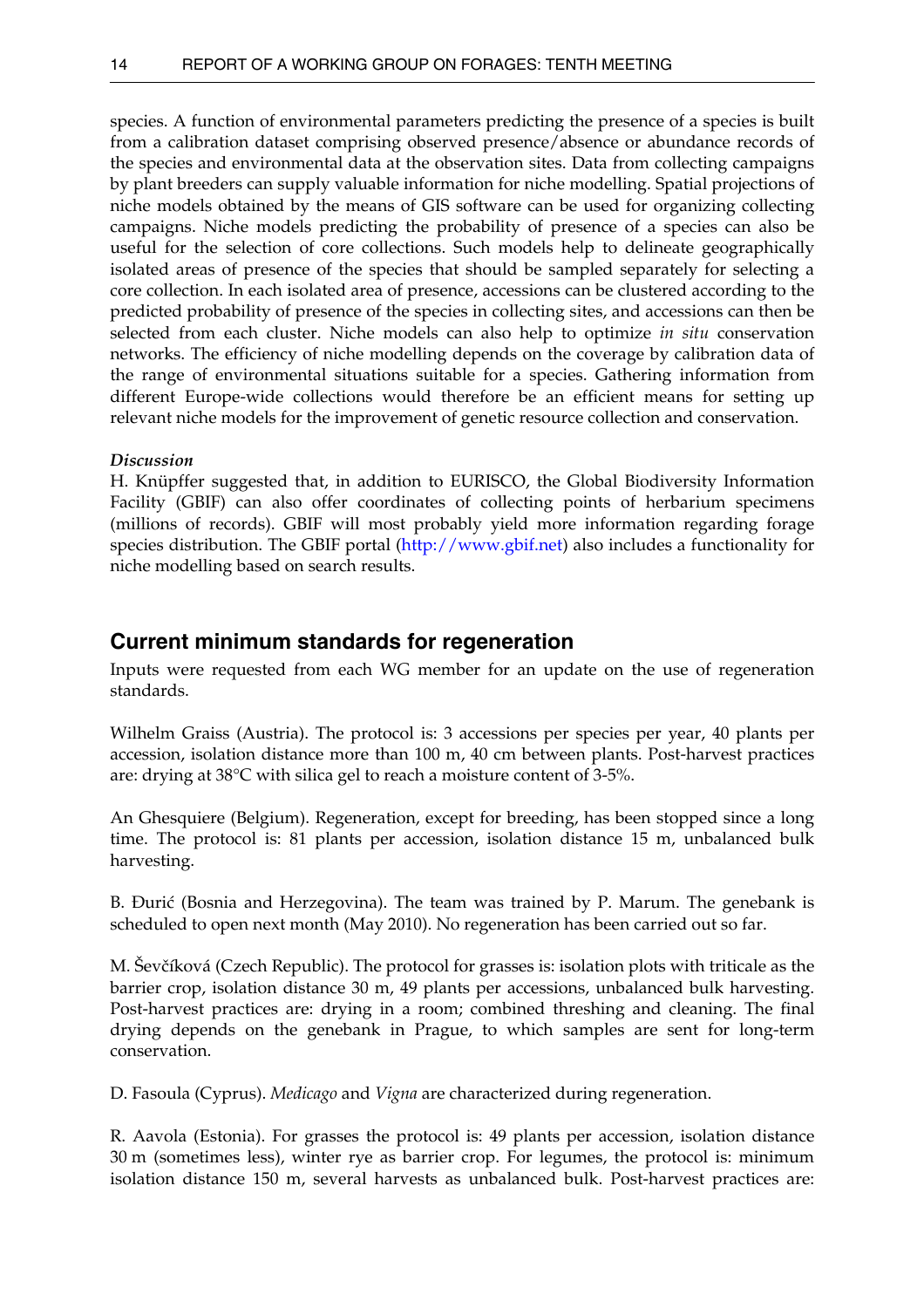species. A function of environmental parameters predicting the presence of a species is built from a calibration dataset comprising observed presence/absence or abundance records of the species and environmental data at the observation sites. Data from collecting campaigns by plant breeders can supply valuable information for niche modelling. Spatial projections of niche models obtained by the means of GIS software can be used for organizing collecting campaigns. Niche models predicting the probability of presence of a species can also be useful for the selection of core collections. Such models help to delineate geographically isolated areas of presence of the species that should be sampled separately for selecting a core collection. In each isolated area of presence, accessions can be clustered according to the predicted probability of presence of the species in collecting sites, and accessions can then be selected from each cluster. Niche models can also help to optimize *in situ* conservation networks. The efficiency of niche modelling depends on the coverage by calibration data of the range of environmental situations suitable for a species. Gathering information from different Europe-wide collections would therefore be an efficient means for setting up relevant niche models for the improvement of genetic resource collection and conservation.

#### *Discussion*

H. Knüpffer suggested that, in addition to EURISCO, the Global Biodiversity Information Facility (GBIF) can also offer coordinates of collecting points of herbarium specimens (millions of records). GBIF will most probably yield more information regarding forage species distribution. The GBIF portal ([http://www.gbif.net](http://www.gbif.net/)) also includes a functionality for niche modelling based on search results.

## **Current minimum standards for regeneration**

Inputs were requested from each WG member for an update on the use of regeneration standards.

Wilhelm Graiss (Austria). The protocol is: 3 accessions per species per year, 40 plants per accession, isolation distance more than 100 m, 40 cm between plants. Post-harvest practices are: drying at 38°C with silica gel to reach a moisture content of 3-5%.

An Ghesquiere (Belgium). Regeneration, except for breeding, has been stopped since a long time. The protocol is: 81 plants per accession, isolation distance 15 m, unbalanced bulk harvesting.

B. Đurić (Bosnia and Herzegovina). The team was trained by P. Marum. The genebank is scheduled to open next month (May 2010). No regeneration has been carried out so far.

M. Ševčíková (Czech Republic). The protocol for grasses is: isolation plots with triticale as the barrier crop, isolation distance 30 m, 49 plants per accessions, unbalanced bulk harvesting. Post-harvest practices are: drying in a room; combined threshing and cleaning. The final drying depends on the genebank in Prague, to which samples are sent for long-term conservation.

D. Fasoula (Cyprus). *Medicago* and *Vigna* are characterized during regeneration.

R. Aavola (Estonia). For grasses the protocol is: 49 plants per accession, isolation distance 30 m (sometimes less), winter rye as barrier crop. For legumes, the protocol is: minimum isolation distance 150 m, several harvests as unbalanced bulk. Post-harvest practices are:

<span id="page-19-0"></span>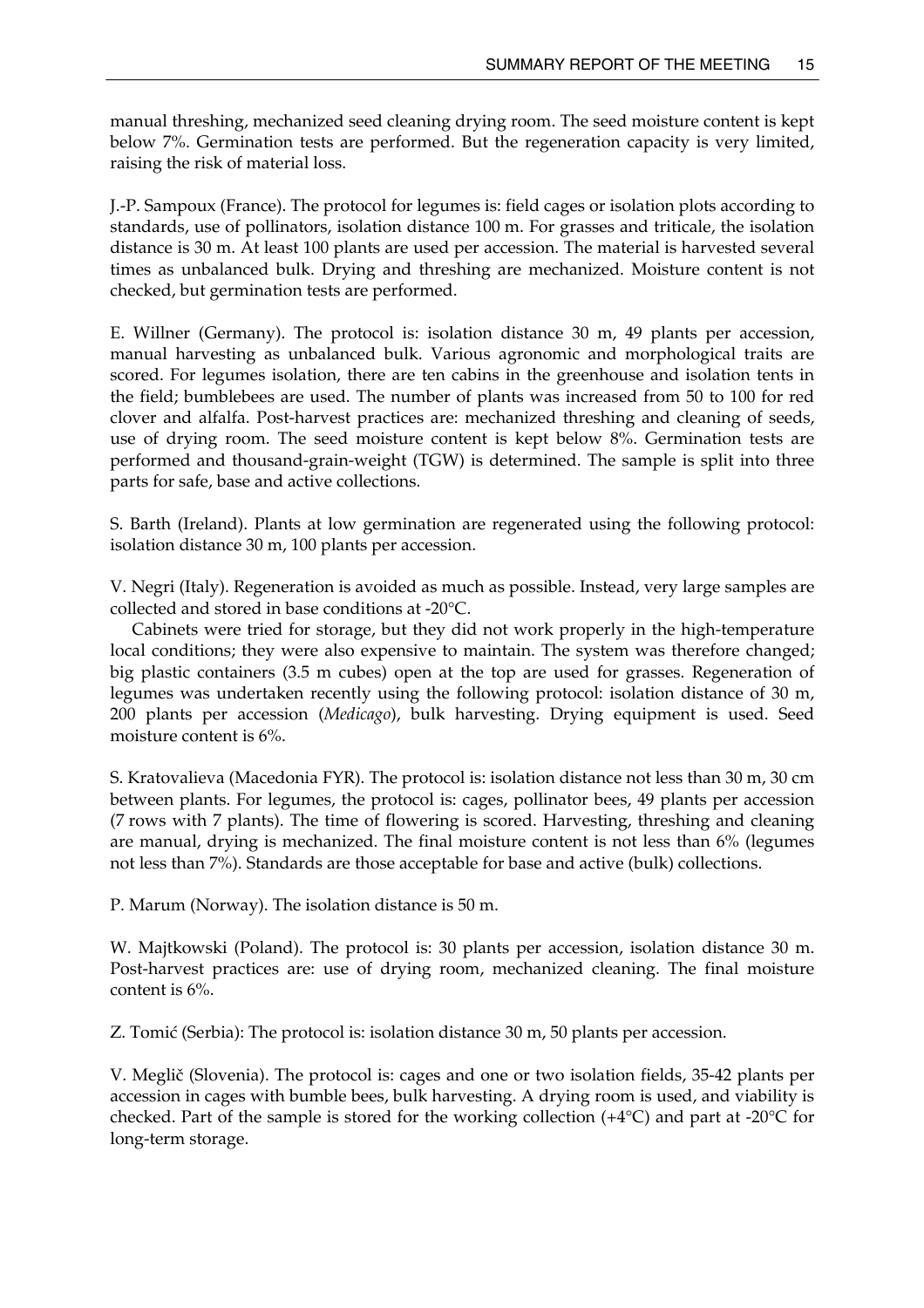manual threshing, mechanized seed cleaning drying room. The seed moisture content is kept below 7%. Germination tests are performed. But the regeneration capacity is very limited, raising the risk of material loss.

J.-P. Sampoux (France). The protocol for legumes is: field cages or isolation plots according to standards, use of pollinators, isolation distance 100 m. For grasses and triticale, the isolation distance is 30 m. At least 100 plants are used per accession. The material is harvested several times as unbalanced bulk. Drying and threshing are mechanized. Moisture content is not checked, but germination tests are performed.

E. Willner (Germany). The protocol is: isolation distance 30 m, 49 plants per accession, manual harvesting as unbalanced bulk. Various agronomic and morphological traits are scored. For legumes isolation, there are ten cabins in the greenhouse and isolation tents in the field; bumblebees are used. The number of plants was increased from 50 to 100 for red clover and alfalfa. Post-harvest practices are: mechanized threshing and cleaning of seeds, use of drying room. The seed moisture content is kept below 8%. Germination tests are performed and thousand-grain-weight (TGW) is determined. The sample is split into three parts for safe, base and active collections.

S. Barth (Ireland). Plants at low germination are regenerated using the following protocol: isolation distance 30 m, 100 plants per accession.

V. Negri (Italy). Regeneration is avoided as much as possible. Instead, very large samples are collected and stored in base conditions at -20°C.

Cabinets were tried for storage, but they did not work properly in the high-temperature local conditions; they were also expensive to maintain. The system was therefore changed; big plastic containers (3.5 m cubes) open at the top are used for grasses. Regeneration of legumes was undertaken recently using the following protocol: isolation distance of 30 m, 200 plants per accession (*Medicago*), bulk harvesting. Drying equipment is used. Seed moisture content is 6%.

S. Kratovalieva (Macedonia FYR). The protocol is: isolation distance not less than 30 m, 30 cm between plants. For legumes, the protocol is: cages, pollinator bees, 49 plants per accession (7 rows with 7 plants). The time of flowering is scored. Harvesting, threshing and cleaning are manual, drying is mechanized. The final moisture content is not less than 6% (legumes not less than 7%). Standards are those acceptable for base and active (bulk) collections.

P. Marum (Norway). The isolation distance is 50 m.

W. Majtkowski (Poland). The protocol is: 30 plants per accession, isolation distance 30 m. Post-harvest practices are: use of drying room, mechanized cleaning. The final moisture content is 6%.

Z. Tomić (Serbia): The protocol is: isolation distance 30 m, 50 plants per accession.

V. Meglič (Slovenia). The protocol is: cages and one or two isolation fields, 35-42 plants per accession in cages with bumble bees, bulk harvesting. A drying room is used, and viability is checked. Part of the sample is stored for the working collection (+4°C) and part at -20°C for long-term storage.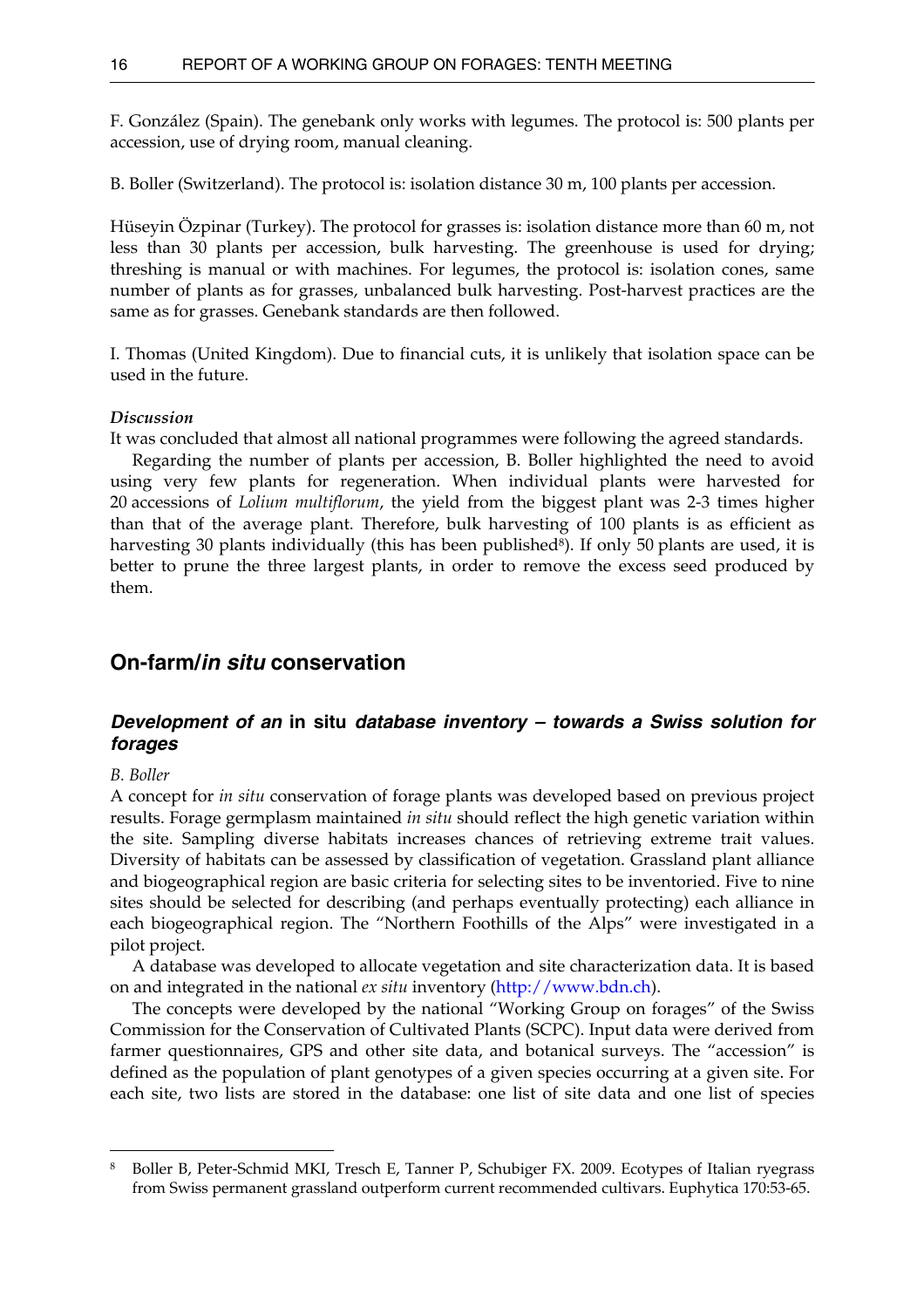<span id="page-21-0"></span>F. González (Spain). The genebank only works with legumes. The protocol is: 500 plants per accession, use of drying room, manual cleaning.

B. Boller (Switzerland). The protocol is: isolation distance 30 m, 100 plants per accession.

Hüseyin Özpinar (Turkey). The protocol for grasses is: isolation distance more than 60 m, not less than 30 plants per accession, bulk harvesting. The greenhouse is used for drying; threshing is manual or with machines. For legumes, the protocol is: isolation cones, same number of plants as for grasses, unbalanced bulk harvesting. Post-harvest practices are the same as for grasses. Genebank standards are then followed.

I. Thomas (United Kingdom). Due to financial cuts, it is unlikely that isolation space can be used in the future.

#### *Discussion*

It was concluded that almost all national programmes were following the agreed standards.

 Regarding the number of plants per accession, B. Boller highlighted the need to avoid using very few plants for regeneration. When individual plants were harvested for 20 accessions of *Lolium multiflorum*, the yield from the biggest plant was 2-3 times higher than that of the average plant. Therefore, bulk harvesting of 100 plants is as efficient as harvesting 30 plants individually (this has been published<sup>8</sup>). If only 50 plants are used, it is better to prune the three largest plants, in order to remove the excess seed produced by them.

## **On-farm/***in situ* **conservation**

## *Development of an* **in situ** *database inventory – towards a Swiss solution for forages*

#### *B. Boller*

 $\overline{a}$ 

A concept for *in situ* conservation of forage plants was developed based on previous project results. Forage germplasm maintained *in situ* should reflect the high genetic variation within the site. Sampling diverse habitats increases chances of retrieving extreme trait values. Diversity of habitats can be assessed by classification of vegetation. Grassland plant alliance and biogeographical region are basic criteria for selecting sites to be inventoried. Five to nine sites should be selected for describing (and perhaps eventually protecting) each alliance in each biogeographical region. The "Northern Foothills of the Alps" were investigated in a pilot project.

 A database was developed to allocate vegetation and site characterization data. It is based on and integrated in the national *ex situ* inventory [\(http://www.bdn.ch](http://www.bdn.ch/)).

 The concepts were developed by the national "Working Group on forages" of the Swiss Commission for the Conservation of Cultivated Plants (SCPC). Input data were derived from farmer questionnaires, GPS and other site data, and botanical surveys. The "accession" is defined as the population of plant genotypes of a given species occurring at a given site. For each site, two lists are stored in the database: one list of site data and one list of species

<span id="page-21-1"></span><sup>8</sup> Boller B, Peter-Schmid MKI, Tresch E, Tanner P, Schubiger FX. 2009. Ecotypes of Italian ryegrass from Swiss permanent grassland outperform current recommended cultivars. Euphytica 170:53-65.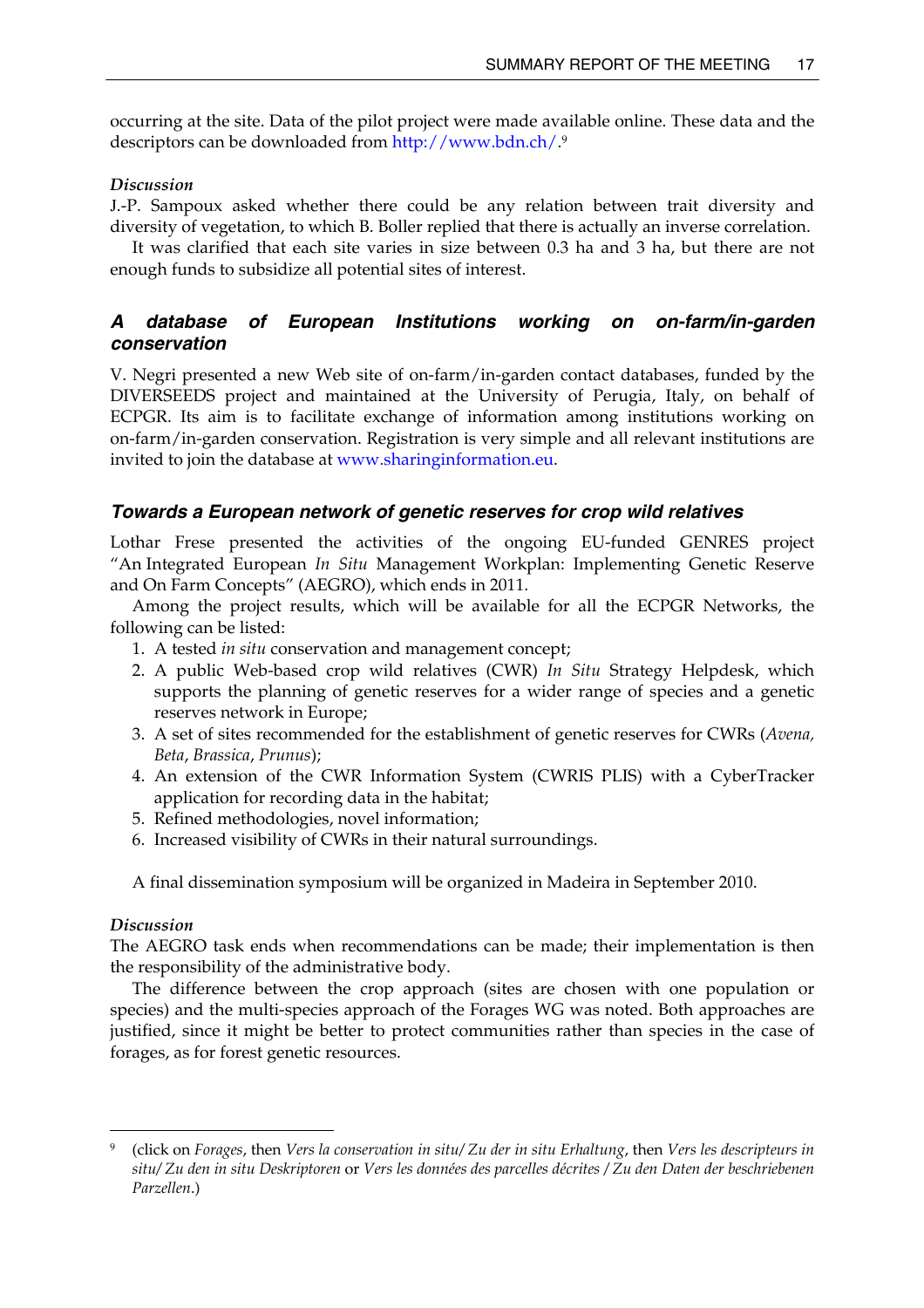<span id="page-22-0"></span>occurring at the site. Data of the pilot project were made available online. These data and the descriptors can be downloaded from <http://www.bdn.ch/>.[9](#page-22-1)

#### *Discussion*

J.-P. Sampoux asked whether there could be any relation between trait diversity and diversity of vegetation, to which B. Boller replied that there is actually an inverse correlation.

It was clarified that each site varies in size between 0.3 ha and 3 ha, but there are not enough funds to subsidize all potential sites of interest.

## *A database of European Institutions working on on-farm/in-garden conservation*

V. Negri presented a new Web site of on-farm/in-garden contact databases, funded by the DIVERSEEDS project and maintained at the University of Perugia, Italy, on behalf of ECPGR. Its aim is to facilitate exchange of information among institutions working on on-farm/in-garden conservation. Registration is very simple and all relevant institutions are invited to join the database at [www.sharinginformation.eu.](http://www.sharinginformation.eu/)

#### *Towards a European network of genetic reserves for crop wild relatives*

Lothar Frese presented the activities of the ongoing EU-funded GENRES project "An Integrated European *In Situ* Management Workplan: Implementing Genetic Reserve and On Farm Concepts" (AEGRO), which ends in 2011.

Among the project results, which will be available for all the ECPGR Networks, the following can be listed:

- 1. A tested *in situ* conservation and management concept;
- 2. A public Web-based crop wild relatives (CWR) *In Situ* Strategy Helpdesk, which supports the planning of genetic reserves for a wider range of species and a genetic reserves network in Europe;
- 3. A set of sites recommended for the establishment of genetic reserves for CWRs (*Avena, Beta*, *Brassica*, *Prunus*);
- 4. An extension of the CWR Information System (CWRIS PLIS) with a CyberTracker application for recording data in the habitat;
- 5. Refined methodologies, novel information;
- 6. Increased visibility of CWRs in their natural surroundings.

A final dissemination symposium will be organized in Madeira in September 2010.

### *Discussion*

The AEGRO task ends when recommendations can be made; their implementation is then the responsibility of the administrative body.

The difference between the crop approach (sites are chosen with one population or species) and the multi-species approach of the Forages WG was noted. Both approaches are justified, since it might be better to protect communities rather than species in the case of forages, as for forest genetic resources.

<span id="page-22-1"></span> <sup>9 (</sup>click on *Forages*, then *Vers la conservation in situ/ Zu der in situ Erhaltung*, then *Vers les descripteurs in situ/ Zu den in situ Deskriptoren* or *Vers les données des parcelles décrites / Zu den Daten der beschriebenen Parzellen*.)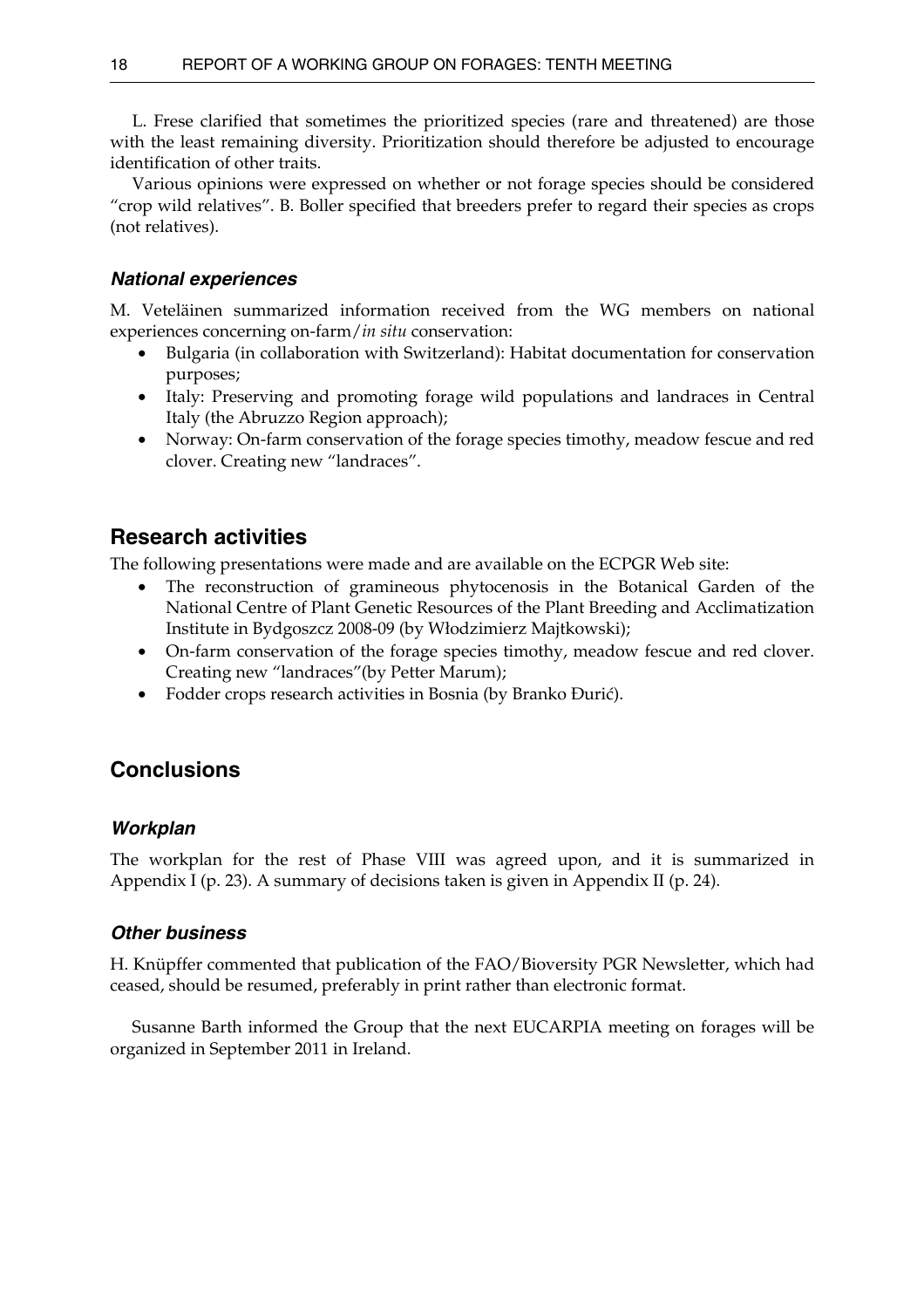<span id="page-23-0"></span> L. Frese clarified that sometimes the prioritized species (rare and threatened) are those with the least remaining diversity. Prioritization should therefore be adjusted to encourage identification of other traits.

 Various opinions were expressed on whether or not forage species should be considered "crop wild relatives". B. Boller specified that breeders prefer to regard their species as crops (not relatives).

## *National experiences*

M. Veteläinen summarized information received from the WG members on national experiences concerning on-farm/*in situ* conservation:

- Bulgaria (in collaboration with Switzerland): Habitat documentation for conservation purposes;
- Italy: Preserving and promoting forage wild populations and landraces in Central Italy (the Abruzzo Region approach);
- Norway: On-farm conservation of the forage species timothy, meadow fescue and red clover. Creating new "landraces".

# **Research activities**

The following presentations were made and are available on the ECPGR Web site:

- The reconstruction of gramineous phytocenosis in the Botanical Garden of the National Centre of Plant Genetic Resources of the Plant Breeding and Acclimatization Institute in Bydgoszcz 2008-09 (by Włodzimierz Majtkowski);
- On-farm conservation of the forage species timothy, meadow fescue and red clover. Creating new "landraces"(by Petter Marum);
- Fodder crops research activities in Bosnia (by Branko Đurić).

## **Conclusions**

## *Workplan*

The workplan for the rest of Phase VIII was agreed upon, and it is summarized in Appendix I (p. 23). A summary of decisions taken is given in Appendix II (p. 24).

## *Other business*

H. Knüpffer commented that publication of the FAO/Bioversity PGR Newsletter, which had ceased, should be resumed, preferably in print rather than electronic format.

 Susanne Barth informed the Group that the next EUCARPIA meeting on forages will be organized in September 2011 in Ireland.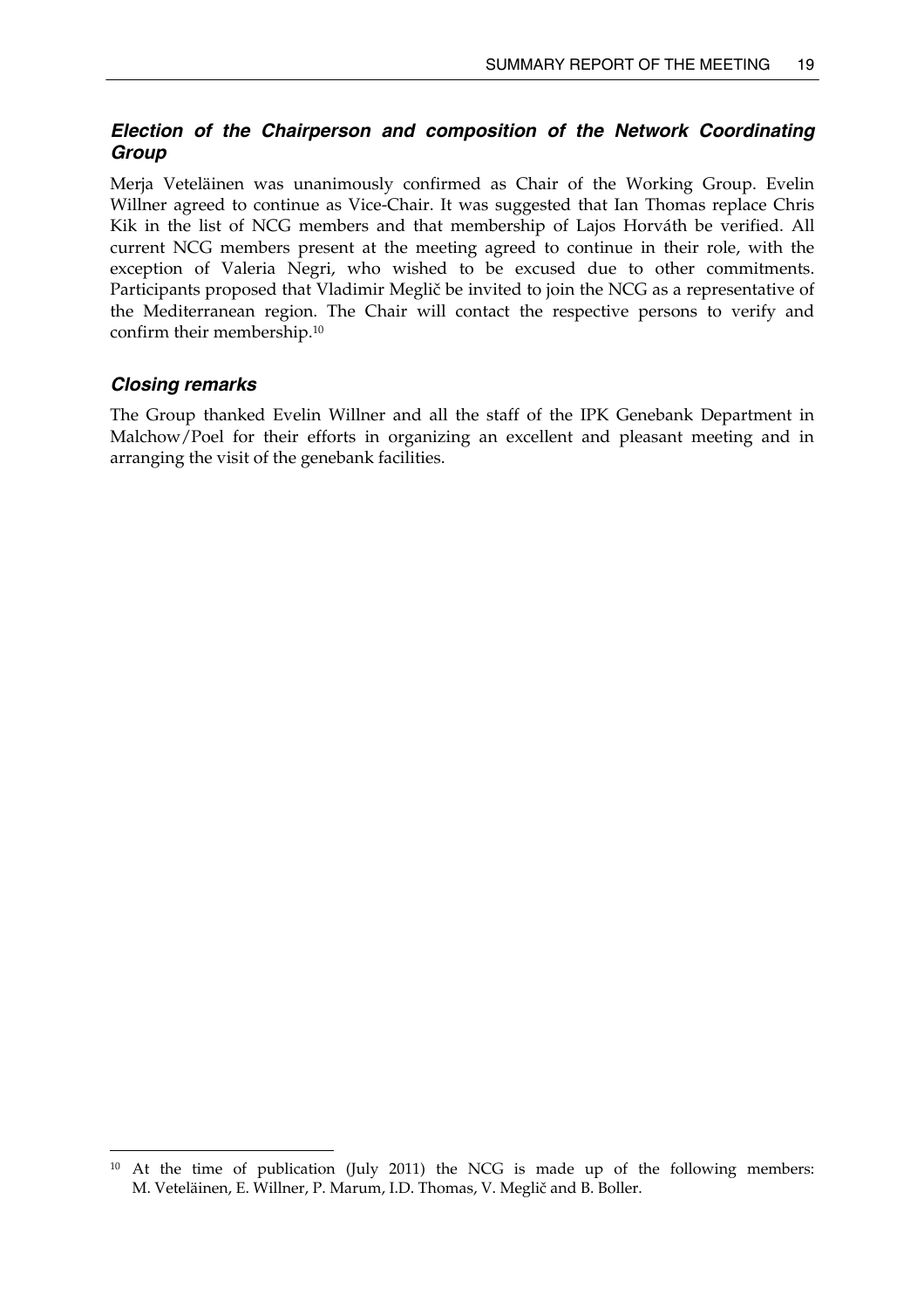## <span id="page-24-0"></span>*Election of the Chairperson and composition of the Network Coordinating Group*

Merja Veteläinen was unanimously confirmed as Chair of the Working Group. Evelin Willner agreed to continue as Vice-Chair. It was suggested that Ian Thomas replace Chris Kik in the list of NCG members and that membership of Lajos Horváth be verified. All current NCG members present at the meeting agreed to continue in their role, with the exception of Valeria Negri, who wished to be excused due to other commitments. Participants proposed that Vladimir Meglič be invited to join the NCG as a representative of the Mediterranean region. The Chair will contact the respective persons to verify and confirm their membership[.10](#page-24-1)

## *Closing remarks*

The Group thanked Evelin Willner and all the staff of the IPK Genebank Department in Malchow/Poel for their efforts in organizing an excellent and pleasant meeting and in arranging the visit of the genebank facilities.

<span id="page-24-1"></span><sup>&</sup>lt;sup>10</sup> At the time of publication (July 2011) the NCG is made up of the following members: M. Veteläinen, E. Willner, P. Marum, I.D. Thomas, V. Meglič and B. Boller.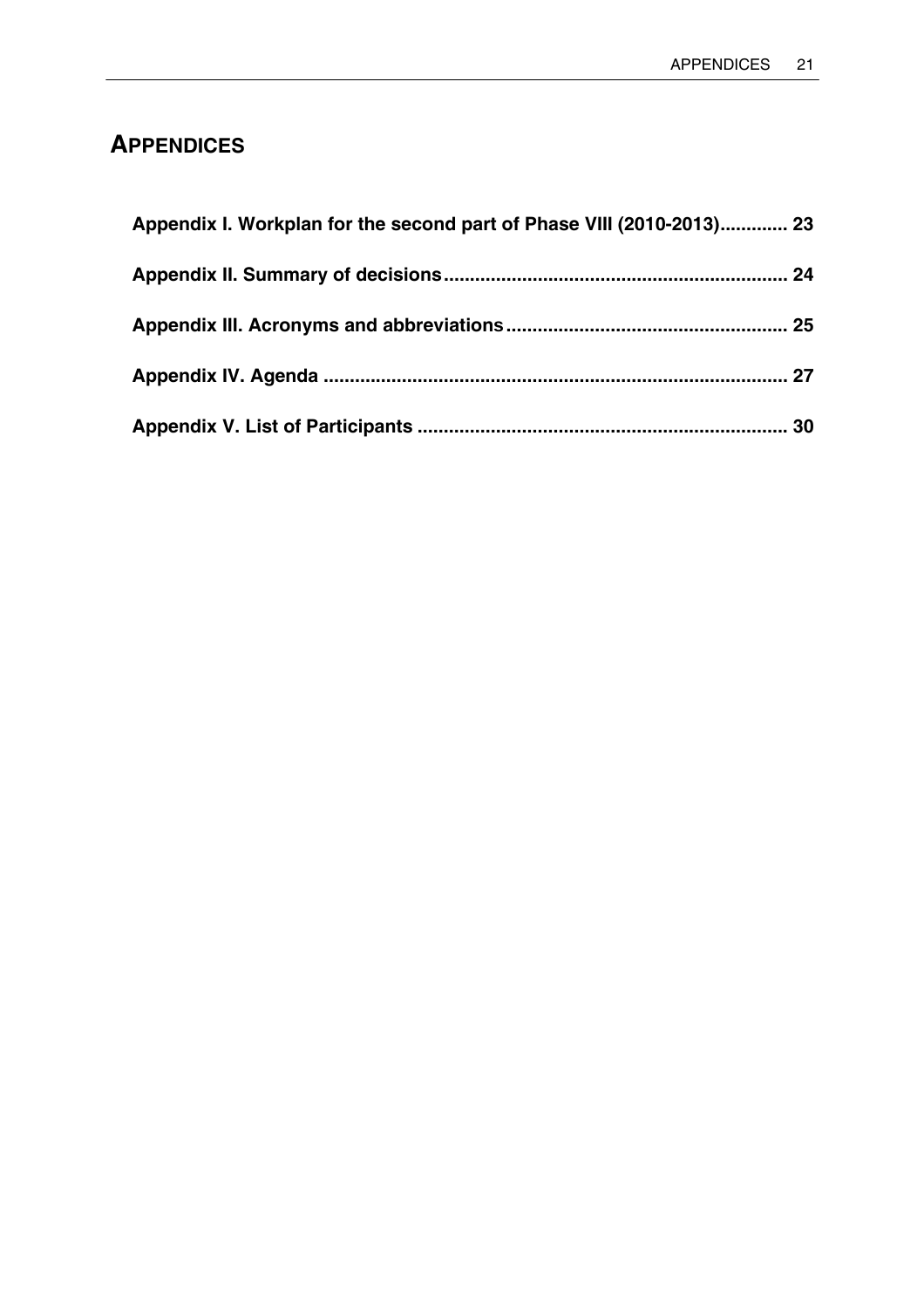# <span id="page-26-0"></span>**APPENDICES**

| Appendix I. Workplan for the second part of Phase VIII (2010-2013) 23 |  |
|-----------------------------------------------------------------------|--|
|                                                                       |  |
|                                                                       |  |
|                                                                       |  |
|                                                                       |  |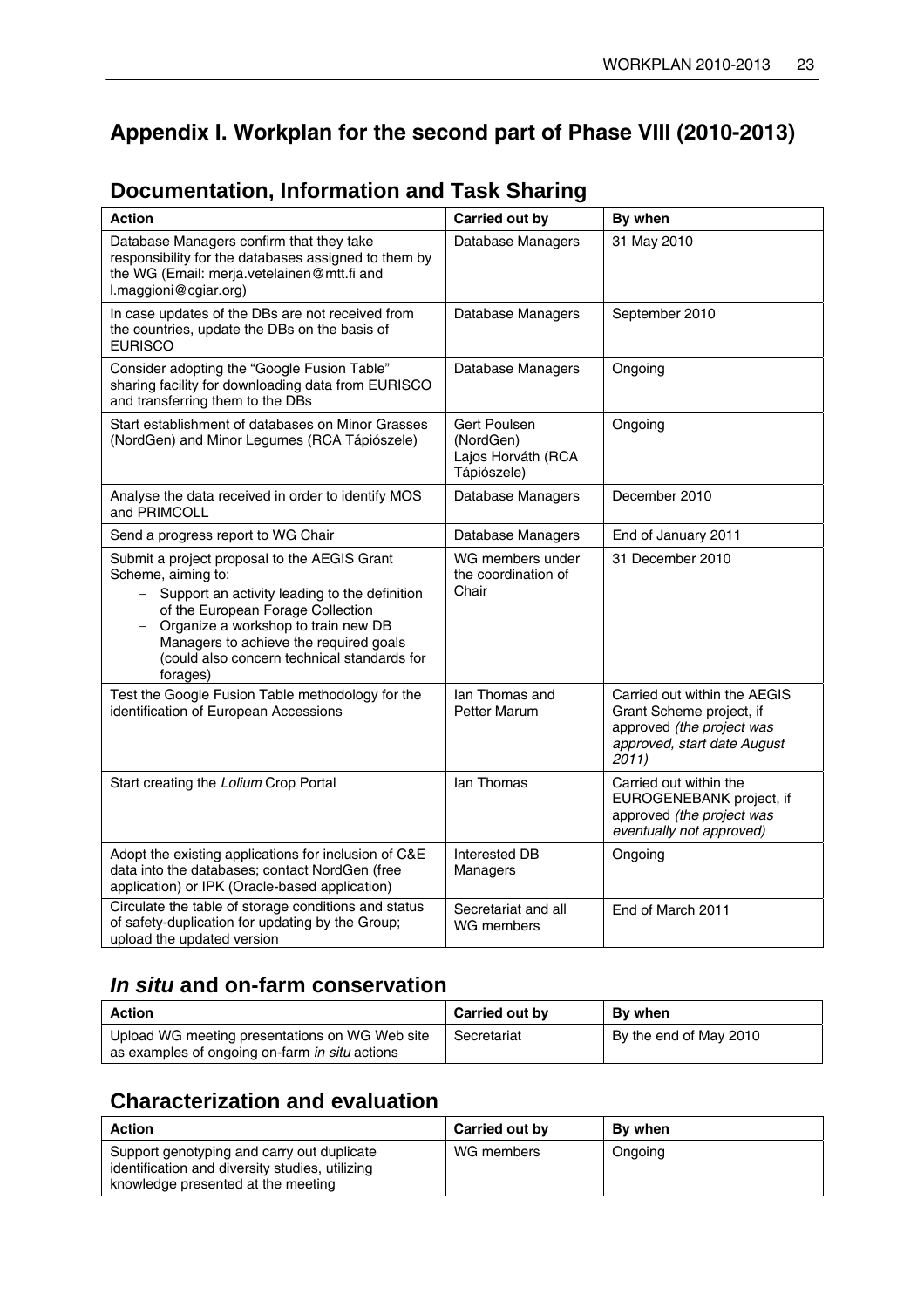# <span id="page-28-0"></span>**Appendix I. Workplan for the second part of Phase VIII (2010-2013)**

| <b>Action</b>                                                                                                                                                                                                                                                                                               | Carried out by                                                 | By when                                                                                                                       |
|-------------------------------------------------------------------------------------------------------------------------------------------------------------------------------------------------------------------------------------------------------------------------------------------------------------|----------------------------------------------------------------|-------------------------------------------------------------------------------------------------------------------------------|
| Database Managers confirm that they take<br>responsibility for the databases assigned to them by<br>the WG (Email: merja.vetelainen@mtt.fi and<br>l.maggioni@cgiar.org)                                                                                                                                     | Database Managers                                              | 31 May 2010                                                                                                                   |
| In case updates of the DBs are not received from<br>the countries, update the DBs on the basis of<br><b>EURISCO</b>                                                                                                                                                                                         | Database Managers                                              | September 2010                                                                                                                |
| Consider adopting the "Google Fusion Table"<br>sharing facility for downloading data from EURISCO<br>and transferring them to the DBs                                                                                                                                                                       | Database Managers                                              | Ongoing                                                                                                                       |
| Start establishment of databases on Minor Grasses<br>(NordGen) and Minor Legumes (RCA Tápiószele)                                                                                                                                                                                                           | Gert Poulsen<br>(NordGen)<br>Lajos Horváth (RCA<br>Tápiószele) | Ongoing                                                                                                                       |
| Analyse the data received in order to identify MOS<br>and PRIMCOLL                                                                                                                                                                                                                                          | Database Managers                                              | December 2010                                                                                                                 |
| Send a progress report to WG Chair                                                                                                                                                                                                                                                                          | Database Managers                                              | End of January 2011                                                                                                           |
| Submit a project proposal to the AEGIS Grant<br>Scheme, aiming to:<br>Support an activity leading to the definition<br>$-$<br>of the European Forage Collection<br>Organize a workshop to train new DB<br>Managers to achieve the required goals<br>(could also concern technical standards for<br>forages) | WG members under<br>the coordination of<br>Chair               | 31 December 2010                                                                                                              |
| Test the Google Fusion Table methodology for the<br>identification of European Accessions                                                                                                                                                                                                                   | lan Thomas and<br><b>Petter Marum</b>                          | Carried out within the AEGIS<br>Grant Scheme project, if<br>approved (the project was<br>approved, start date August<br>2011) |
| Start creating the Lolium Crop Portal                                                                                                                                                                                                                                                                       | lan Thomas                                                     | Carried out within the<br>EUROGENEBANK project, if<br>approved (the project was<br>eventually not approved)                   |
| Adopt the existing applications for inclusion of C&E<br>data into the databases; contact NordGen (free<br>application) or IPK (Oracle-based application)                                                                                                                                                    | Interested DB<br>Managers                                      | Ongoing                                                                                                                       |
| Circulate the table of storage conditions and status<br>of safety-duplication for updating by the Group;<br>upload the updated version                                                                                                                                                                      | Secretariat and all<br>WG members                              | End of March 2011                                                                                                             |

# **Documentation, Information and Task Sharing**

# *In situ* **and on-farm conservation**

| <b>Action</b>                                                                                    | Carried out by | By when                |
|--------------------------------------------------------------------------------------------------|----------------|------------------------|
| Upload WG meeting presentations on WG Web site<br>as examples of ongoing on-farm in situ actions | Secretariat    | By the end of May 2010 |

# **Characterization and evaluation**

| <b>Action</b>                                                                                                                       | Carried out by | By when |
|-------------------------------------------------------------------------------------------------------------------------------------|----------------|---------|
| Support genotyping and carry out duplicate<br>identification and diversity studies, utilizing<br>knowledge presented at the meeting | WG members     | Ongoing |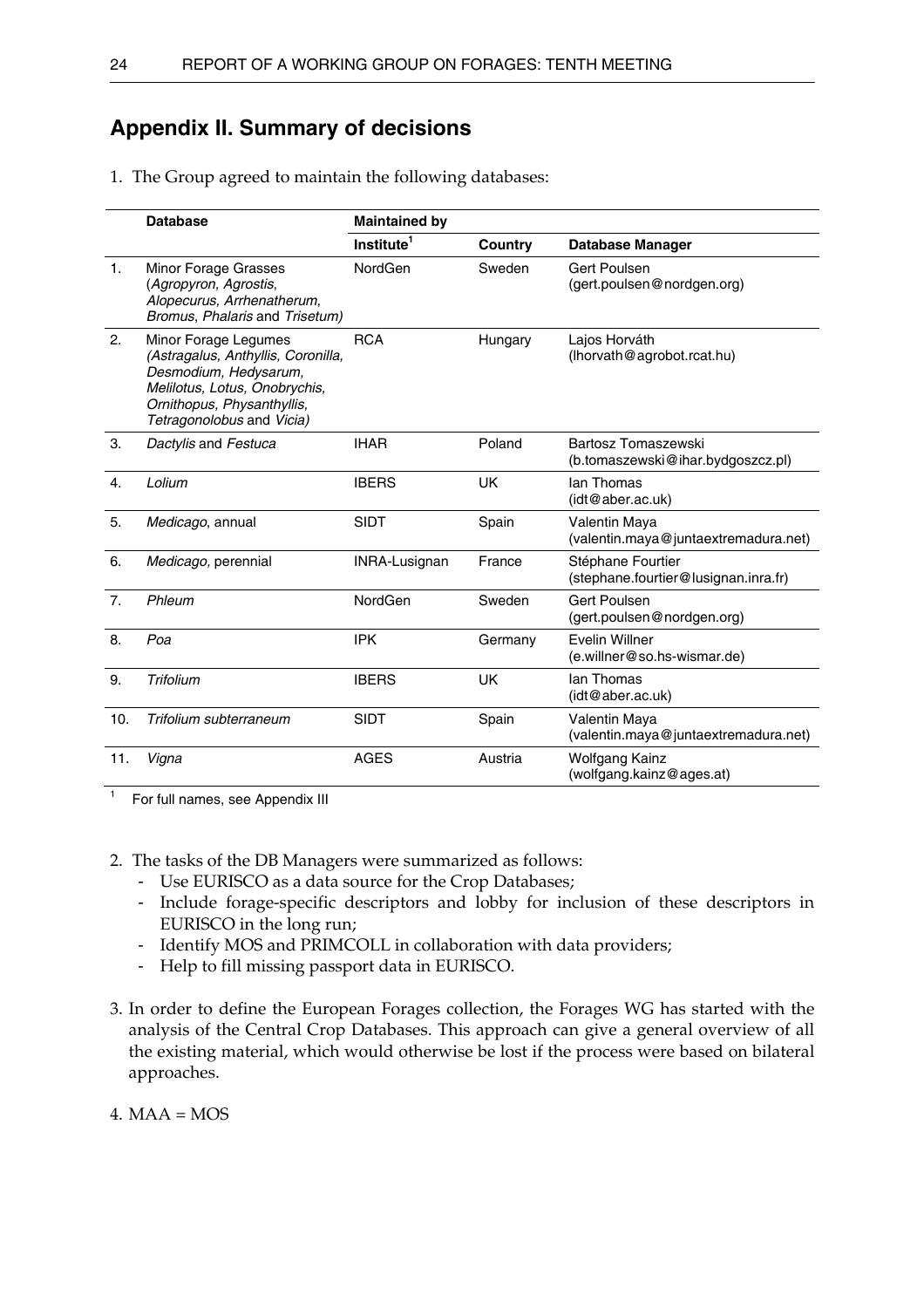## <span id="page-29-0"></span>**Appendix II. Summary of decisions**

1. The Group agreed to maintain the following databases:

|                | <b>Database</b>                                                                                                                                                                 | <b>Maintained by</b>   |           |                                                           |
|----------------|---------------------------------------------------------------------------------------------------------------------------------------------------------------------------------|------------------------|-----------|-----------------------------------------------------------|
|                |                                                                                                                                                                                 | Institute <sup>1</sup> | Country   | <b>Database Manager</b>                                   |
| 1 <sub>1</sub> | Minor Forage Grasses<br>(Agropyron, Agrostis,<br>Alopecurus, Arrhenatherum,<br>Bromus, Phalaris and Trisetum)                                                                   | NordGen                | Sweden    | Gert Poulsen<br>(gert.poulsen@nordgen.org)                |
| 2.             | Minor Forage Legumes<br>(Astragalus, Anthyllis, Coronilla,<br>Desmodium, Hedysarum,<br>Melilotus, Lotus, Onobrychis,<br>Ornithopus, Physanthyllis,<br>Tetragonolobus and Vicia) | <b>RCA</b>             | Hungary   | Lajos Horváth<br>(lhorvath@agrobot.rcat.hu)               |
| 3.             | Dactylis and Festuca                                                                                                                                                            | <b>IHAR</b>            | Poland    | Bartosz Tomaszewski<br>(b.tomaszewski@ihar.bydgoszcz.pl)  |
| 4.             | Lolium                                                                                                                                                                          | <b>IBERS</b>           | <b>UK</b> | lan Thomas<br>(idt@aber.ac.uk)                            |
| 5.             | Medicago, annual                                                                                                                                                                | <b>SIDT</b>            | Spain     | Valentin Maya<br>(valentin.maya@juntaextremadura.net)     |
| 6.             | Medicago, perennial                                                                                                                                                             | INRA-Lusignan          | France    | Stéphane Fourtier<br>(stephane.fourtier@lusignan.inra.fr) |
| 7.             | Phleum                                                                                                                                                                          | NordGen                | Sweden    | <b>Gert Poulsen</b><br>(gert.poulsen@nordgen.org)         |
| 8.             | Poa                                                                                                                                                                             | <b>IPK</b>             | Germany   | Evelin Willner<br>(e.willner@so.hs-wismar.de)             |
| 9.             | Trifolium                                                                                                                                                                       | <b>IBERS</b>           | <b>UK</b> | lan Thomas<br>(idt@aber.ac.uk)                            |
| 10.            | Trifolium subterraneum                                                                                                                                                          | <b>SIDT</b>            | Spain     | Valentin Maya<br>(valentin.maya@juntaextremadura.net)     |
| 11.            | Vigna                                                                                                                                                                           | <b>AGES</b>            | Austria   | Wolfgang Kainz<br>(wolfgang.kainz@ages.at)                |

 $1$  For full names, see Appendix III

2. The tasks of the DB Managers were summarized as follows:

- Use EURISCO as a data source for the Crop Databases;
- Include forage-specific descriptors and lobby for inclusion of these descriptors in EURISCO in the long run;
- Identify MOS and PRIMCOLL in collaboration with data providers;
- Help to fill missing passport data in EURISCO.
- 3. In order to define the European Forages collection, the Forages WG has started with the analysis of the Central Crop Databases. This approach can give a general overview of all the existing material, which would otherwise be lost if the process were based on bilateral approaches.

4.  $MAA = MOS$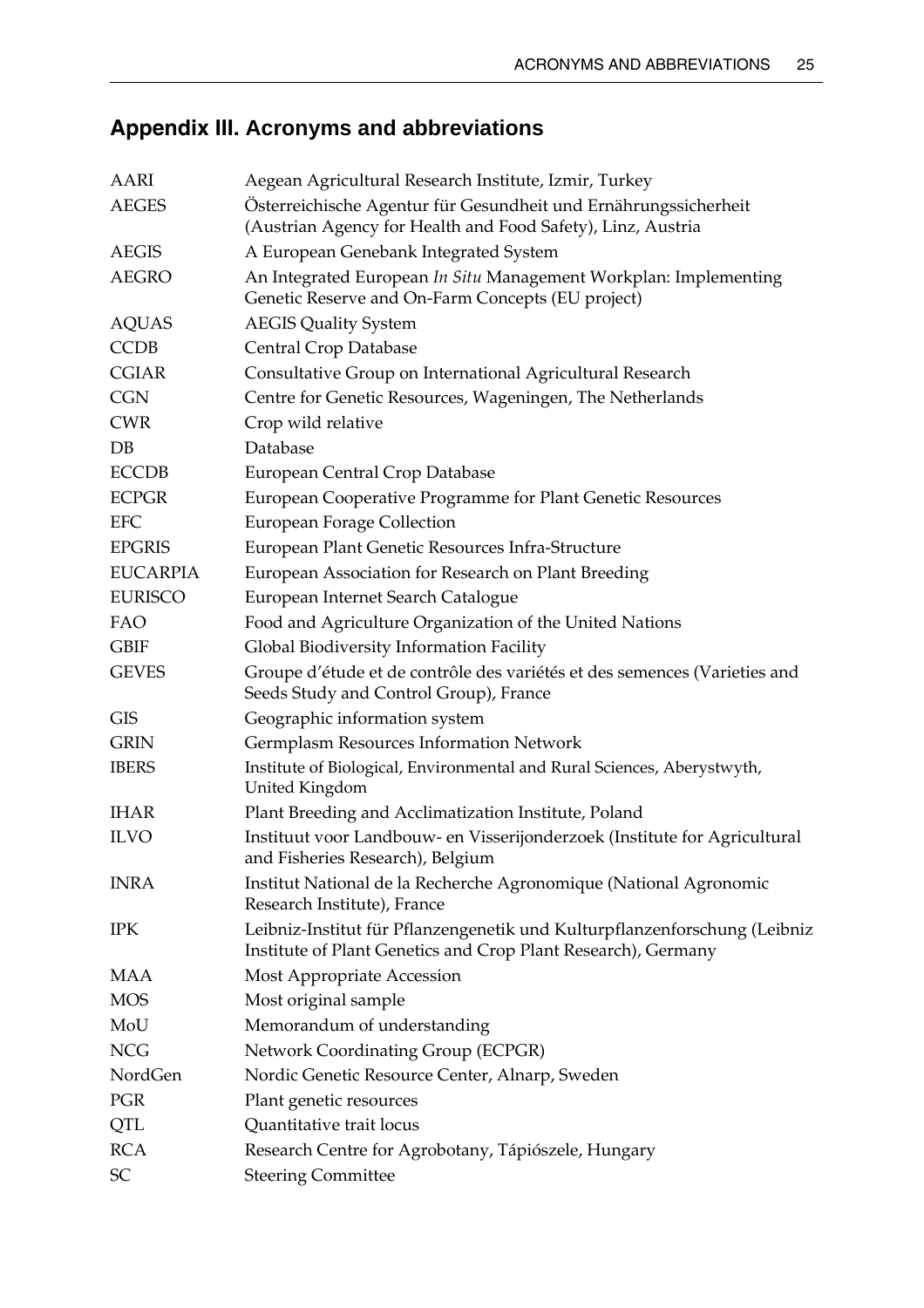# <span id="page-30-0"></span>**Appendix III. Acronyms and abbreviations**

| <b>AARI</b>     | Aegean Agricultural Research Institute, Izmir, Turkey                                                                                      |
|-----------------|--------------------------------------------------------------------------------------------------------------------------------------------|
| <b>AEGES</b>    | Österreichische Agentur für Gesundheit und Ernährungssicherheit<br>(Austrian Agency for Health and Food Safety), Linz, Austria             |
| <b>AEGIS</b>    | A European Genebank Integrated System                                                                                                      |
| <b>AEGRO</b>    | An Integrated European In Situ Management Workplan: Implementing<br>Genetic Reserve and On-Farm Concepts (EU project)                      |
| <b>AQUAS</b>    | <b>AEGIS Quality System</b>                                                                                                                |
| <b>CCDB</b>     | Central Crop Database                                                                                                                      |
| <b>CGIAR</b>    | Consultative Group on International Agricultural Research                                                                                  |
| <b>CGN</b>      | Centre for Genetic Resources, Wageningen, The Netherlands                                                                                  |
| <b>CWR</b>      | Crop wild relative                                                                                                                         |
| DB              | Database                                                                                                                                   |
| <b>ECCDB</b>    | European Central Crop Database                                                                                                             |
| <b>ECPGR</b>    | European Cooperative Programme for Plant Genetic Resources                                                                                 |
| <b>EFC</b>      | <b>European Forage Collection</b>                                                                                                          |
| <b>EPGRIS</b>   | European Plant Genetic Resources Infra-Structure                                                                                           |
| <b>EUCARPIA</b> | European Association for Research on Plant Breeding                                                                                        |
| <b>EURISCO</b>  | European Internet Search Catalogue                                                                                                         |
| FAO             | Food and Agriculture Organization of the United Nations                                                                                    |
| <b>GBIF</b>     | Global Biodiversity Information Facility                                                                                                   |
| <b>GEVES</b>    | Groupe d'étude et de contrôle des variétés et des semences (Varieties and<br>Seeds Study and Control Group), France                        |
| <b>GIS</b>      | Geographic information system                                                                                                              |
| <b>GRIN</b>     | Germplasm Resources Information Network                                                                                                    |
| <b>IBERS</b>    | Institute of Biological, Environmental and Rural Sciences, Aberystwyth,<br>United Kingdom                                                  |
| <b>IHAR</b>     | Plant Breeding and Acclimatization Institute, Poland                                                                                       |
| <b>ILVO</b>     | Instituut voor Landbouw- en Visserijonderzoek (Institute for Agricultural<br>and Fisheries Research), Belgium                              |
| <b>INRA</b>     | Institut National de la Recherche Agronomique (National Agronomic<br>Research Institute), France                                           |
| <b>IPK</b>      | Leibniz-Institut für Pflanzengenetik und Kulturpflanzenforschung (Leibniz<br>Institute of Plant Genetics and Crop Plant Research), Germany |
| MAA             | Most Appropriate Accession                                                                                                                 |
| <b>MOS</b>      | Most original sample                                                                                                                       |
| MoU             | Memorandum of understanding                                                                                                                |
| <b>NCG</b>      | Network Coordinating Group (ECPGR)                                                                                                         |
| NordGen         | Nordic Genetic Resource Center, Alnarp, Sweden                                                                                             |
| PGR             | Plant genetic resources                                                                                                                    |
| QTL             | Quantitative trait locus                                                                                                                   |
| <b>RCA</b>      | Research Centre for Agrobotany, Tápiószele, Hungary                                                                                        |
| SC              | <b>Steering Committee</b>                                                                                                                  |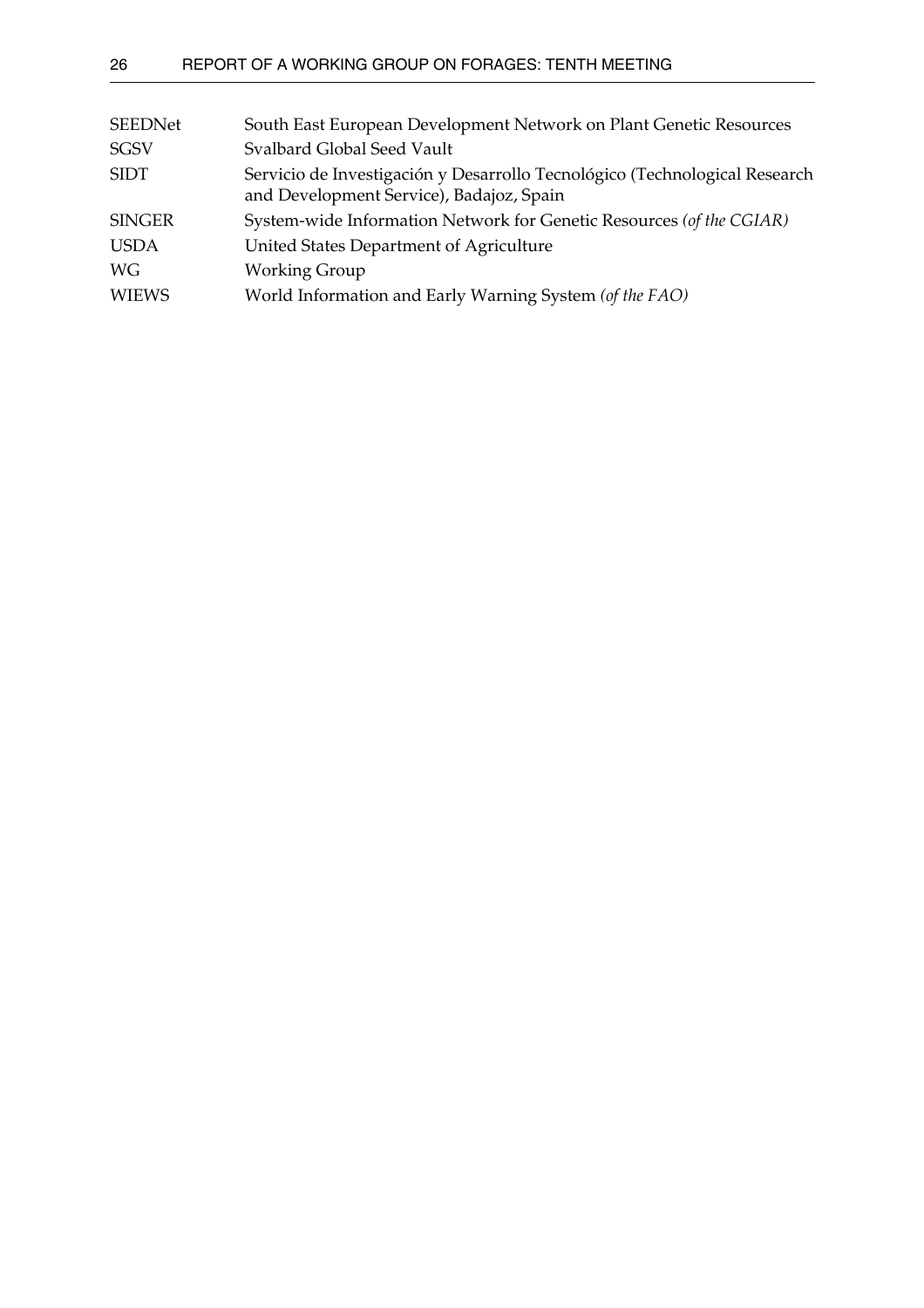| <b>SEEDNet</b> | South East European Development Network on Plant Genetic Resources                                                     |
|----------------|------------------------------------------------------------------------------------------------------------------------|
| <b>SGSV</b>    | Svalbard Global Seed Vault                                                                                             |
| <b>SIDT</b>    | Servicio de Investigación y Desarrollo Tecnológico (Technological Research<br>and Development Service), Badajoz, Spain |
| <b>SINGER</b>  | System-wide Information Network for Genetic Resources (of the CGIAR)                                                   |
| <b>USDA</b>    | United States Department of Agriculture                                                                                |
| WG             | <b>Working Group</b>                                                                                                   |
| <b>WIEWS</b>   | World Information and Early Warning System (of the FAO)                                                                |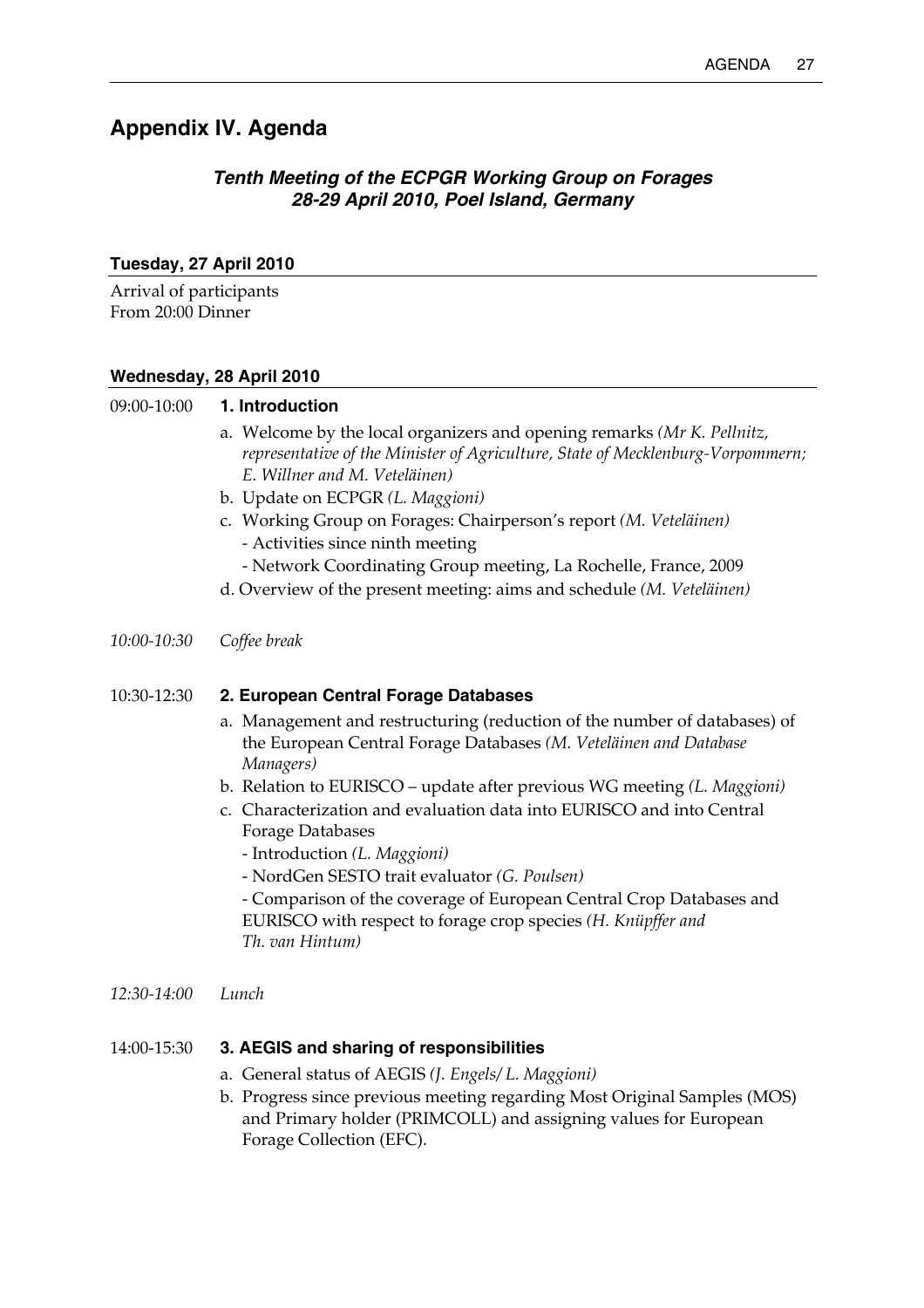# <span id="page-32-0"></span>**Appendix IV. Agenda**

## *Tenth Meeting of the ECPGR Working Group on Forages 28-29 April 2010, Poel Island, Germany*

## **Tuesday, 27 April 2010**

Arrival of participants From 20:00 Dinner

## **Wednesday, 28 April 2010**

### 09:00-10:00 **1. Introduction**

- a. Welcome by the local organizers and opening remarks *(Mr K. Pellnitz, representative of the Minister of Agriculture, State of Mecklenburg-Vorpommern; E. Willner and M. Veteläinen)*
- b. Update on ECPGR *(L. Maggioni)*
- c. Working Group on Forages: Chairperson's report *(M. Veteläinen)*  - Activities since ninth meeting
	- Network Coordinating Group meeting, La Rochelle, France, 2009
- d. Overview of the present meeting: aims and schedule *(M. Veteläinen)*
- *10:00-10:30 Coffee break*

## 10:30-12:30 **2. European Central Forage Databases**

- a. Management and restructuring (reduction of the number of databases) of the European Central Forage Databases *(M. Veteläinen and Database Managers)*
- b. Relation to EURISCO update after previous WG meeting *(L. Maggioni)*
- c. Characterization and evaluation data into EURISCO and into Central Forage Databases
	- Introduction *(L. Maggioni)*
	- NordGen SESTO trait evaluator *(G. Poulsen)*

- Comparison of the coverage of European Central Crop Databases and EURISCO with respect to forage crop species *(H. Knüpffer and Th. van Hintum)*

*12:30-14:00 Lunch*

## 14:00-15:30 **3. AEGIS and sharing of responsibilities**

- a. General status of AEGIS *(J. Engels/ L. Maggioni)*
- b. Progress since previous meeting regarding Most Original Samples (MOS) and Primary holder (PRIMCOLL) and assigning values for European Forage Collection (EFC).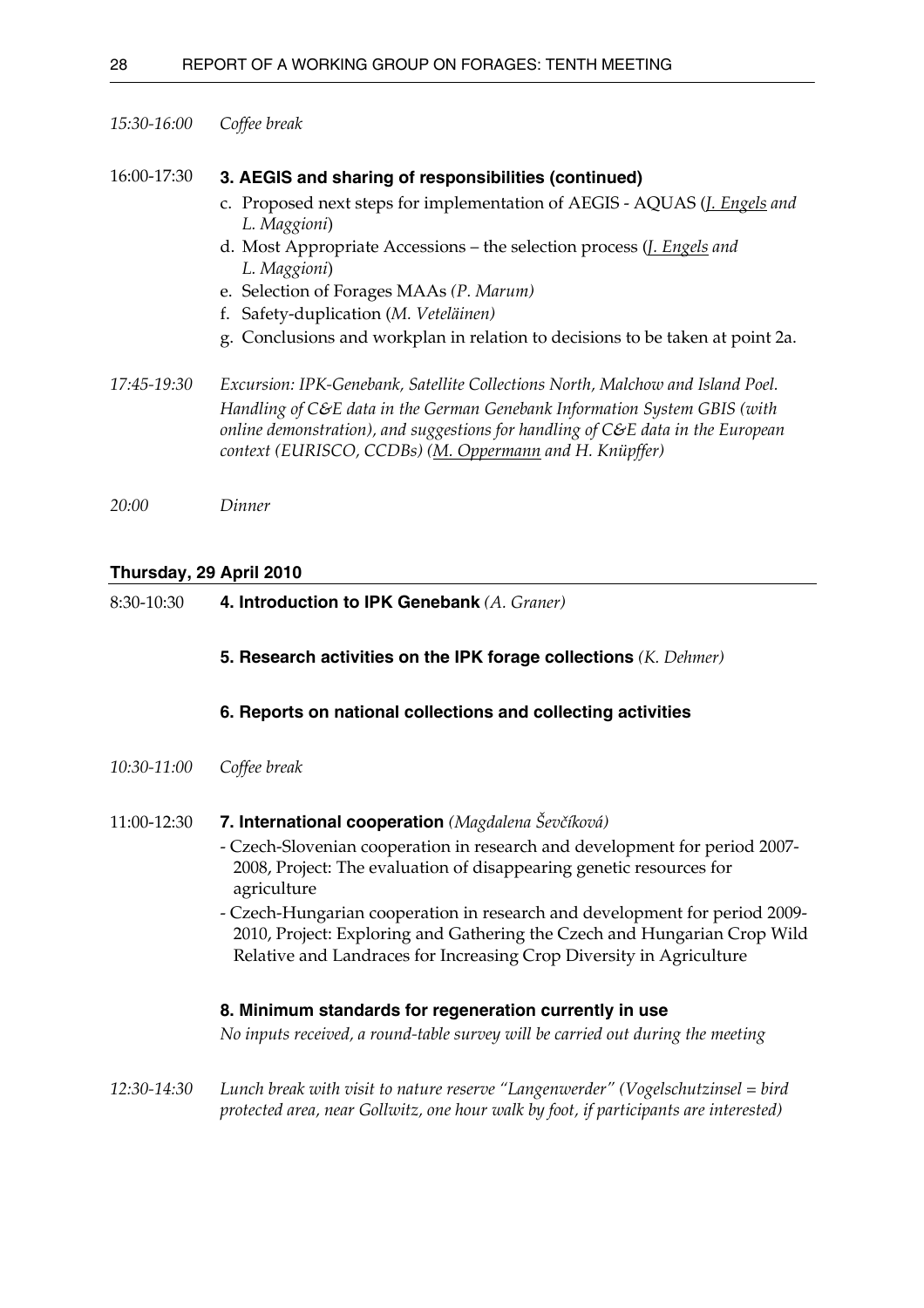#### *15:30-16:00 Coffee break*

#### 16:00-17:30 **3. AEGIS and sharing of responsibilities (continued)**

- c. Proposed next steps for implementation of AEGIS AQUAS (*J. Engels and L. Maggioni*)
- d. Most Appropriate Accessions the selection process (*J. Engels and L. Maggioni*)
- e. Selection of Forages MAAs *(P. Marum)*
- f. Safety-duplication (*M. Veteläinen)*
- g. Conclusions and workplan in relation to decisions to be taken at point 2a.

*17:45-19:30 Excursion: IPK-Genebank, Satellite Collections North, Malchow and Island Poel. Handling of C&E data in the German Genebank Information System GBIS (with online demonstration), and suggestions for handling of C&E data in the European context (EURISCO, CCDBs) (M. Oppermann and H. Knüpffer)*

*20:00 Dinner*

#### **Thursday, 29 April 2010**

8:30-10:30 **4. Introduction to IPK Genebank** *(A. Graner)*

#### **5. Research activities on the IPK forage collections** *(K. Dehmer)*

#### **6. Reports on national collections and collecting activities**

- *10:30-11:00 Coffee break*
- 11:00-12:30 **7. International cooperation** *(Magdalena Ševčíková)*
	- Czech-Slovenian cooperation in research and development for period 2007- 2008, Project: The evaluation of disappearing genetic resources for agriculture
	- Czech-Hungarian cooperation in research and development for period 2009- 2010, Project: Exploring and Gathering the Czech and Hungarian Crop Wild Relative and Landraces for Increasing Crop Diversity in Agriculture

#### **8. Minimum standards for regeneration currently in use**

*No inputs received, a round-table survey will be carried out during the meeting*

*12:30-14:30 Lunch break with visit to nature reserve "Langenwerder" (Vogelschutzinsel = bird protected area, near Gollwitz, one hour walk by foot, if participants are interested)*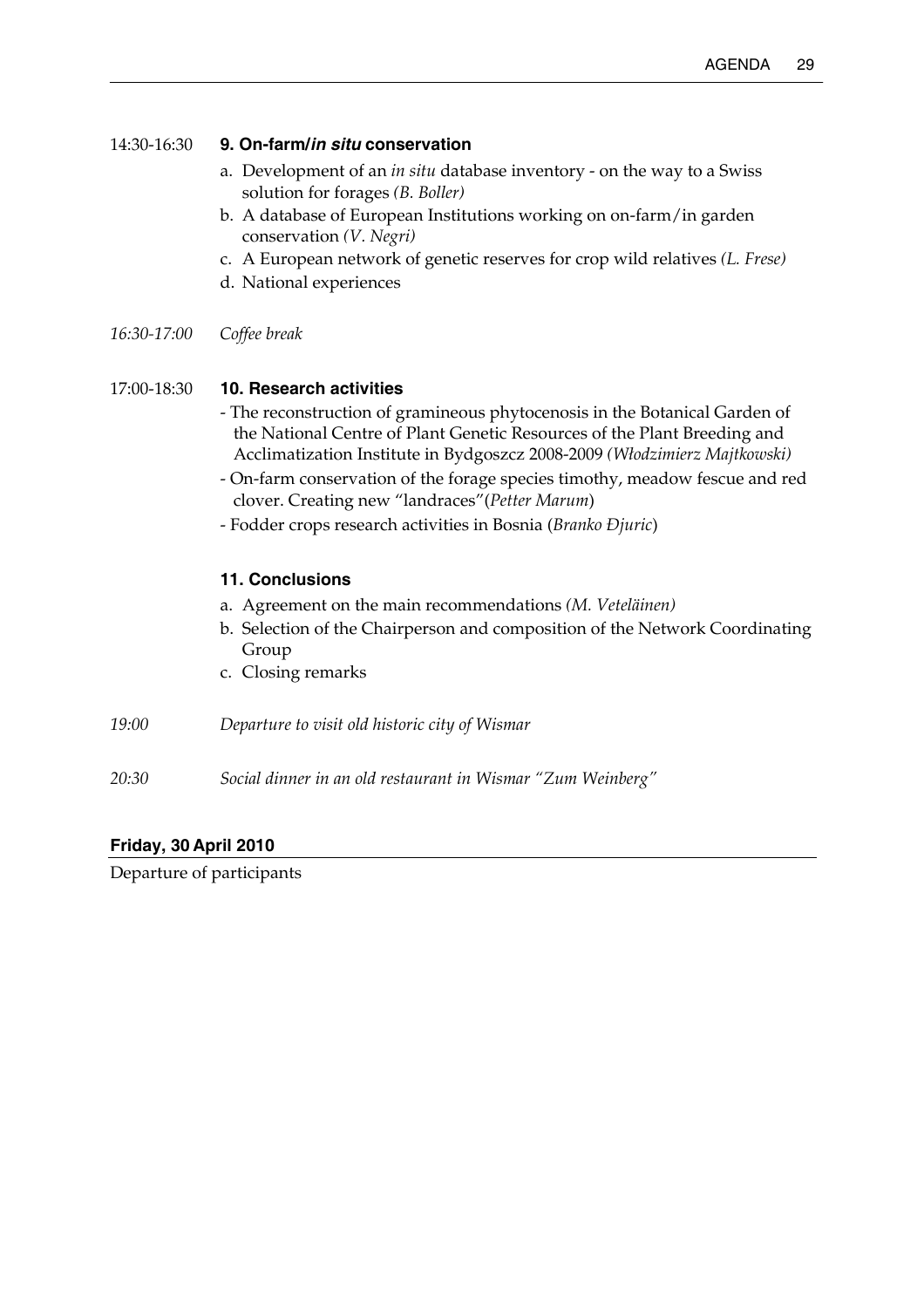### 14:30-16:30 **9. On-farm/***in situ* **conservation**

- a. Development of an *in situ* database inventory on the way to a Swiss solution for forages *(B. Boller)*
- b. A database of European Institutions working on on-farm/in garden conservation *(V. Negri)*
- c. A European network of genetic reserves for crop wild relatives *(L. Frese)*
- d. National experiences
- *16:30-17:00 Coffee break*

## 17:00-18:30 **10. Research activities**

- The reconstruction of gramineous phytocenosis in the Botanical Garden of the National Centre of Plant Genetic Resources of the Plant Breeding and Acclimatization Institute in Bydgoszcz 2008-2009 *(Włodzimierz Majtkowski)*
- On-farm conservation of the forage species timothy, meadow fescue and red clover. Creating new "landraces"(*Petter Marum*)
- Fodder crops research activities in Bosnia (*Branko Đjuric*)

## **11. Conclusions**

- a. Agreement on the main recommendations *(M. Veteläinen)*
- b. Selection of the Chairperson and composition of the Network Coordinating Group
- c. Closing remarks
- *19:00 Departure to visit old historic city of Wismar*
- *20:30 Social dinner in an old restaurant in Wismar "Zum Weinberg"*

## **Friday, 30 April 2010**

Departure of participants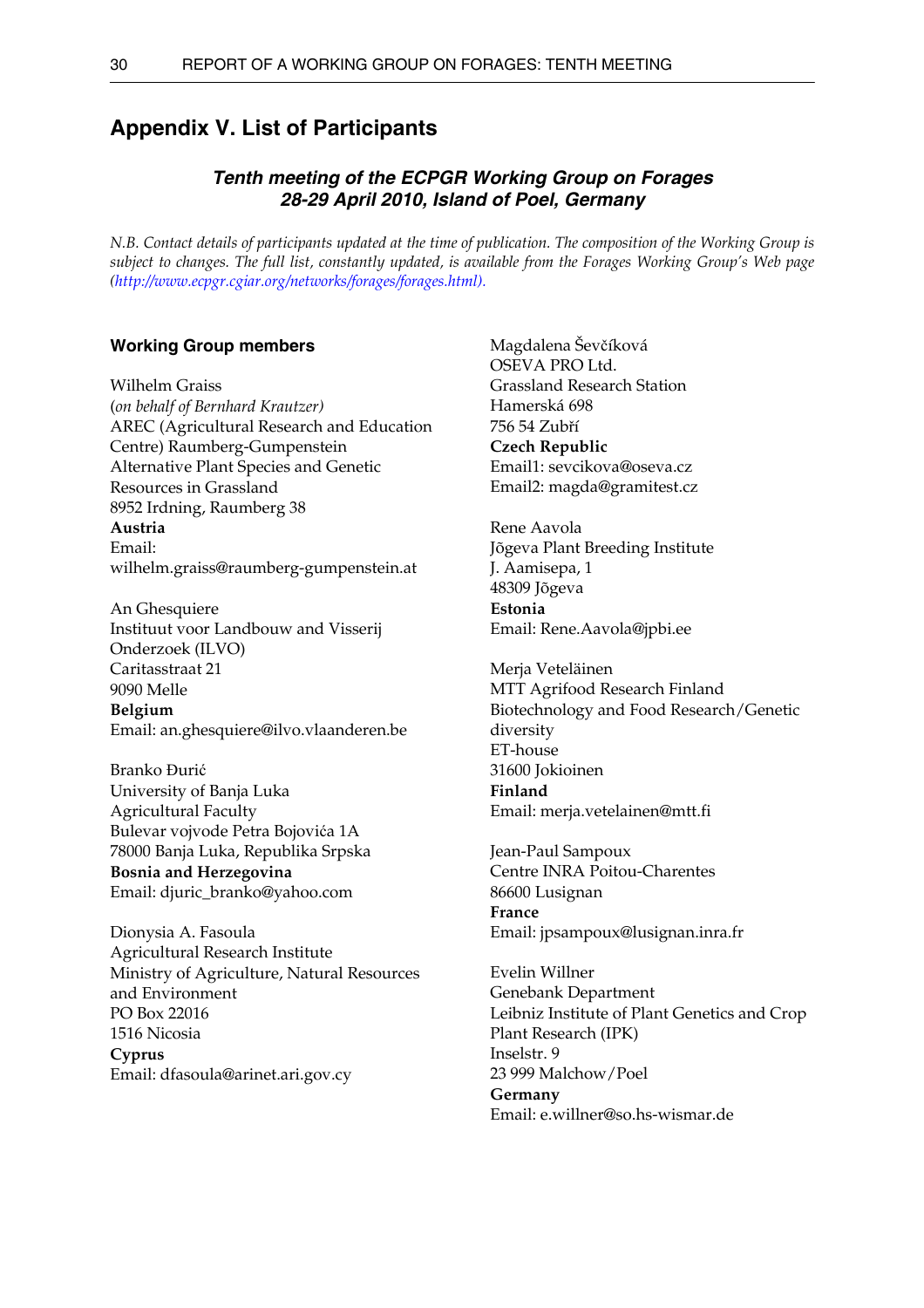## <span id="page-35-0"></span>**Appendix V. List of Participants**

## *Tenth meeting of the ECPGR Working Group on Forages 28-29 April 2010, Island of Poel, Germany*

*N.B. Contact details of participants updated at the time of publication. The composition of the Working Group is subject to changes. The full list, constantly updated, is available from the Forages Working Group's Web page [\(http://www.ecpgr.cgiar.org/networks/forages/forages.html\)](http://www.ecpgr.cgiar.org/networks/forages/forages.html).*

#### **Working Group members**

Wilhelm Graiss (*on behalf of Bernhard Krautzer)*  AREC (Agricultural Research and Education Centre) Raumberg-Gumpenstein Alternative Plant Species and Genetic Resources in Grassland 8952 Irdning, Raumberg 38 **Austria**  Email: wilhelm.graiss@raumberg-gumpenstein.at

An Ghesquiere Instituut voor Landbouw and Visserij Onderzoek (ILVO) Caritasstraat 21 9090 Melle **Belgium**  Email: an.ghesquiere@ilvo.vlaanderen.be

Branko Đurić University of Banja Luka Agricultural Faculty Bulevar vojvode Petra Bojovića 1A 78000 Banja Luka, Republika Srpska **Bosnia and Herzegovina**  Email: djuric\_branko@yahoo.com

Dionysia A. Fasoula Agricultural Research Institute Ministry of Agriculture, Natural Resources and Environment PO Box 22016 1516 Nicosia **Cyprus**  Email: dfasoula@arinet.ari.gov.cy

Magdalena Ševčíková OSEVA PRO Ltd. Grassland Research Station Hamerská 698 756 54 Zubří **Czech Republic**  Email1: sevcikova@oseva.cz Email2: magda@gramitest.cz

Rene Aavola Jõgeva Plant Breeding Institute J. Aamisepa, 1 48309 Jõgeva **Estonia**  Email: Rene.Aavola@jpbi.ee

Merja Veteläinen MTT Agrifood Research Finland Biotechnology and Food Research/Genetic diversity ET-house 31600 Jokioinen **Finland**  Email: merja.vetelainen@mtt.fi

Jean-Paul Sampoux Centre INRA Poitou-Charentes 86600 Lusignan **France**  Email: jpsampoux@lusignan.inra.fr

Evelin Willner Genebank Department Leibniz Institute of Plant Genetics and Crop Plant Research (IPK) Inselstr. 9 23 999 Malchow/Poel **Germany**  Email: e.willner@so.hs-wismar.de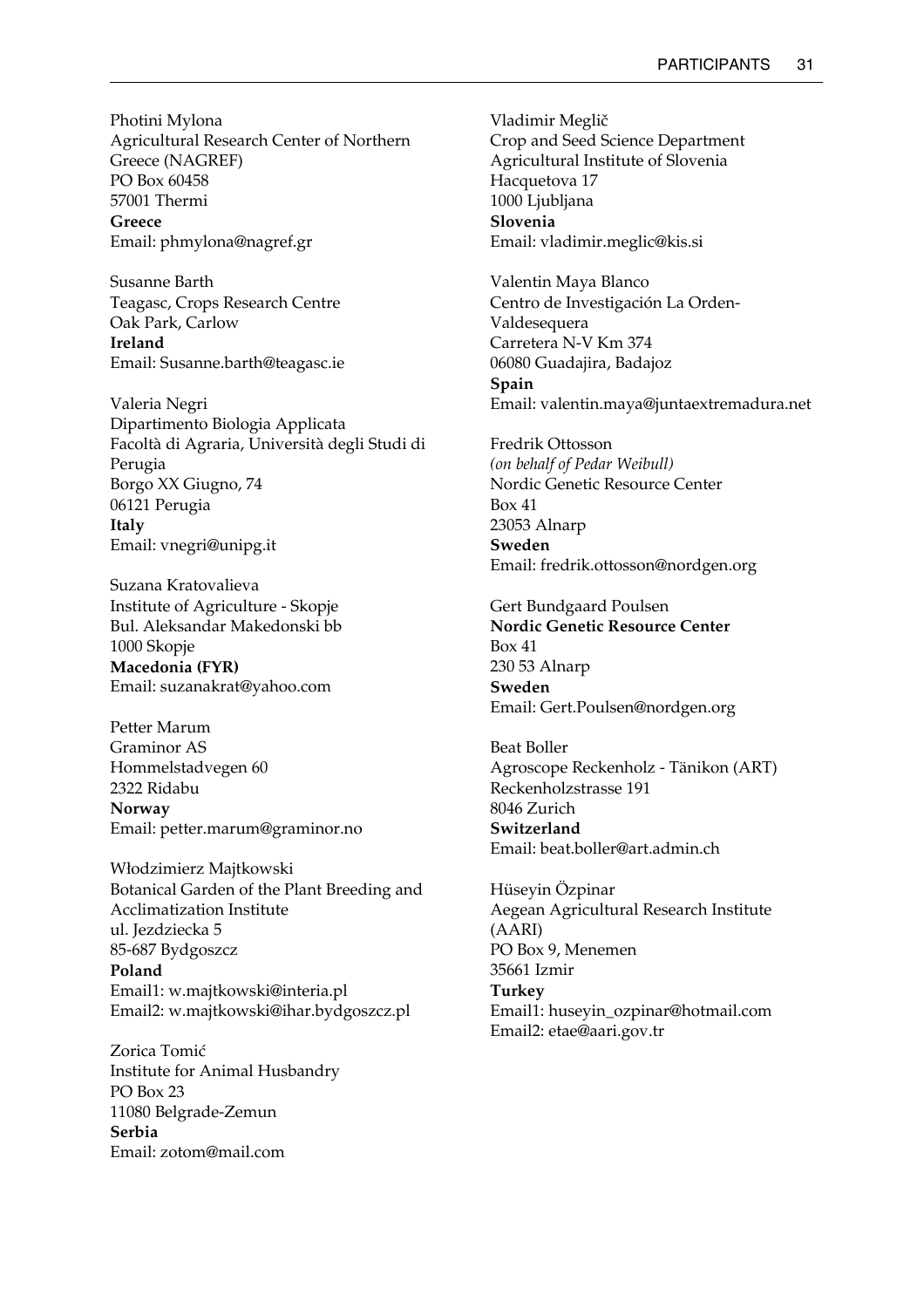Photini Mylona Agricultural Research Center of Northern Greece (NAGREF) PO Box 60458 57001 Thermi **Greece**  Email: phmylona@nagref.gr

Susanne Barth Teagasc, Crops Research Centre Oak Park, Carlow **Ireland**  Email: Susanne.barth@teagasc.ie

Valeria Negri Dipartimento Biologia Applicata Facoltà di Agraria, Università degli Studi di Perugia Borgo XX Giugno, 74 06121 Perugia **Italy**  Email: vnegri@unipg.it

Suzana Kratovalieva Institute of Agriculture - Skopje Bul. Aleksandar Makedonski bb 1000 Skopje **Macedonia (FYR)**  Email: suzanakrat@yahoo.com

Petter Marum Graminor AS Hommelstadvegen 60 2322 Ridabu **Norway**  Email: petter.marum@graminor.no

Włodzimierz Majtkowski Botanical Garden of the Plant Breeding and Acclimatization Institute ul. Jezdziecka 5 85-687 Bydgoszcz **Poland**  Email1: w.majtkowski@interia.pl Email2: w.majtkowski@ihar.bydgoszcz.pl

Zorica Tomić Institute for Animal Husbandry PO Box 23 11080 Belgrade-Zemun **Serbia**  Email: zotom@mail.com

Vladimir Meglič Crop and Seed Science Department Agricultural Institute of Slovenia Hacquetova 17 1000 Ljubljana **Slovenia**  Email: vladimir.meglic@kis.si

Valentin Maya Blanco Centro de Investigación La Orden-Valdesequera Carretera N-V Km 374 06080 Guadajira, Badajoz **Spain**  Email: valentin.maya@juntaextremadura.net

Fredrik Ottosson *(on behalf of Pedar Weibull)* Nordic Genetic Resource Center Box 41 23053 Alnarp **Sweden**  Email: fredrik.ottosson@nordgen.org

Gert Bundgaard Poulsen **Nordic Genetic Resource Center**  Box 41 230 53 Alnarp **Sweden**  Email: Gert.Poulsen@nordgen.org

Beat Boller Agroscope Reckenholz - Tänikon (ART) Reckenholzstrasse 191 8046 Zurich **Switzerland**  Email: beat.boller@art.admin.ch

Hüseyin Özpinar Aegean Agricultural Research Institute (AARI) PO Box 9, Menemen 35661 Izmir **Turkey**  Email1: huseyin\_ozpinar@hotmail.com Email2: etae@aari.gov.tr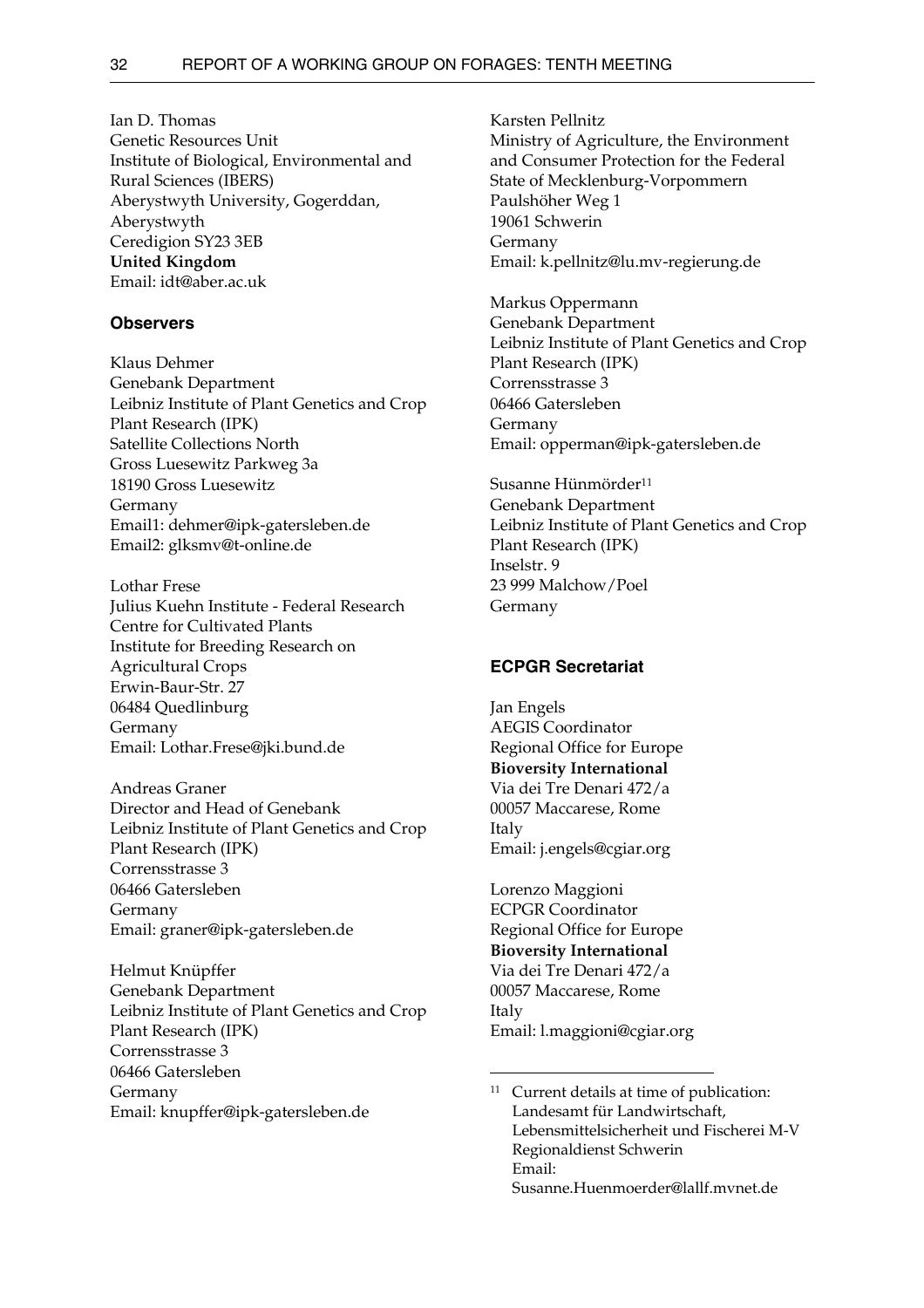Ian D. Thomas Genetic Resources Unit Institute of Biological, Environmental and Rural Sciences (IBERS) Aberystwyth University, Gogerddan, Aberystwyth Ceredigion SY23 3EB **United Kingdom**  Email: idt@aber.ac.uk

#### **Observers**

Klaus Dehmer Genebank Department Leibniz Institute of Plant Genetics and Crop Plant Research (IPK) Satellite Collections North Gross Luesewitz Parkweg 3a 18190 Gross Luesewitz Germany Email1: dehmer@ipk-gatersleben.de Email2: glksmv@t-online.de

Lothar Frese Julius Kuehn Institute - Federal Research Centre for Cultivated Plants Institute for Breeding Research on Agricultural Crops Erwin-Baur-Str. 27 06484 Quedlinburg Germany Email: Lothar.Frese@jki.bund.de

Andreas Graner Director and Head of Genebank Leibniz Institute of Plant Genetics and Crop Plant Research (IPK) Corrensstrasse 3 06466 Gatersleben Germany Email: graner@ipk-gatersleben.de

Helmut Knüpffer Genebank Department Leibniz Institute of Plant Genetics and Crop Plant Research (IPK) Corrensstrasse 3 06466 Gatersleben Germany Email: knupffer@ipk-gatersleben.de

Karsten Pellnitz Ministry of Agriculture, the Environment and Consumer Protection for the Federal State of Mecklenburg-Vorpommern Paulshöher Weg 1 19061 Schwerin Germany Email: k.pellnitz@lu.mv-regierung.de

Markus Oppermann Genebank Department Leibniz Institute of Plant Genetics and Crop Plant Research (IPK) Corrensstrasse 3 06466 Gatersleben Germany Email: opperman@ipk-gatersleben.de

Susanne Hünmörder<sup>[11](#page-37-0)</sup> Genebank Department Leibniz Institute of Plant Genetics and Crop Plant Research (IPK) Inselstr. 9 23 999 Malchow/Poel Germany

#### **ECPGR Secretariat**

Jan Engels AEGIS Coordinator Regional Office for Europe **Bioversity International**  Via dei Tre Denari 472/a 00057 Maccarese, Rome Italy Email: j.engels@cgiar.org

Lorenzo Maggioni ECPGR Coordinator Regional Office for Europe **Bioversity International**  Via dei Tre Denari 472/a 00057 Maccarese, Rome Italy Email: l.maggioni@cgiar.org

<span id="page-37-0"></span><sup>&</sup>lt;sup>11</sup> Current details at time of publication: Landesamt für Landwirtschaft, Lebensmittelsicherheit und Fischerei M-V Regionaldienst Schwerin Email: Susanne.Huenmoerder@lallf.mvnet.de